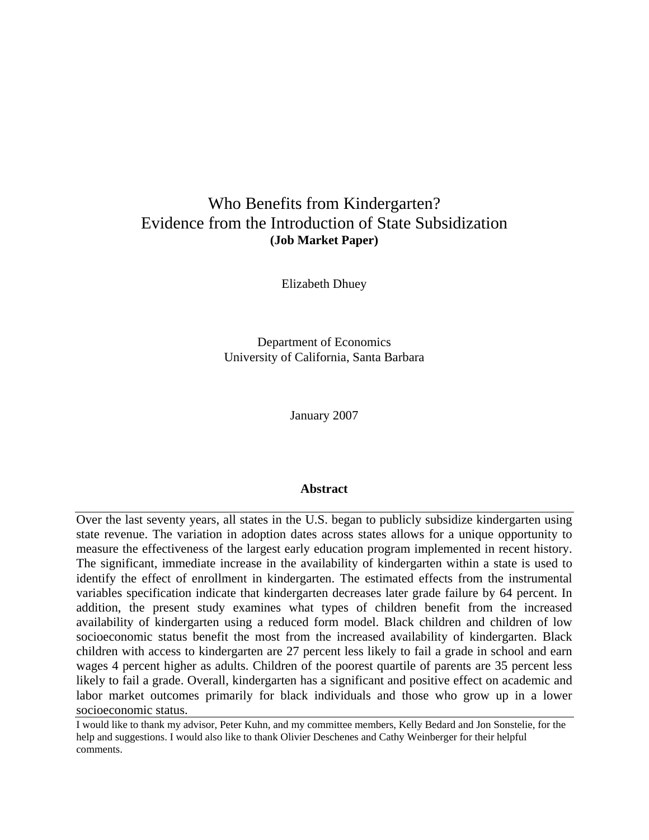# Who Benefits from Kindergarten? Evidence from the Introduction of State Subsidization **(Job Market Paper)**

Elizabeth Dhuey

Department of Economics University of California, Santa Barbara

January 2007

### **Abstract**

Over the last seventy years, all states in the U.S. began to publicly subsidize kindergarten using state revenue. The variation in adoption dates across states allows for a unique opportunity to measure the effectiveness of the largest early education program implemented in recent history. The significant, immediate increase in the availability of kindergarten within a state is used to identify the effect of enrollment in kindergarten. The estimated effects from the instrumental variables specification indicate that kindergarten decreases later grade failure by 64 percent. In addition, the present study examines what types of children benefit from the increased availability of kindergarten using a reduced form model. Black children and children of low socioeconomic status benefit the most from the increased availability of kindergarten. Black children with access to kindergarten are 27 percent less likely to fail a grade in school and earn wages 4 percent higher as adults. Children of the poorest quartile of parents are 35 percent less likely to fail a grade. Overall, kindergarten has a significant and positive effect on academic and labor market outcomes primarily for black individuals and those who grow up in a lower socioeconomic status.

I would like to thank my advisor, Peter Kuhn, and my committee members, Kelly Bedard and Jon Sonstelie, for the help and suggestions. I would also like to thank Olivier Deschenes and Cathy Weinberger for their helpful comments.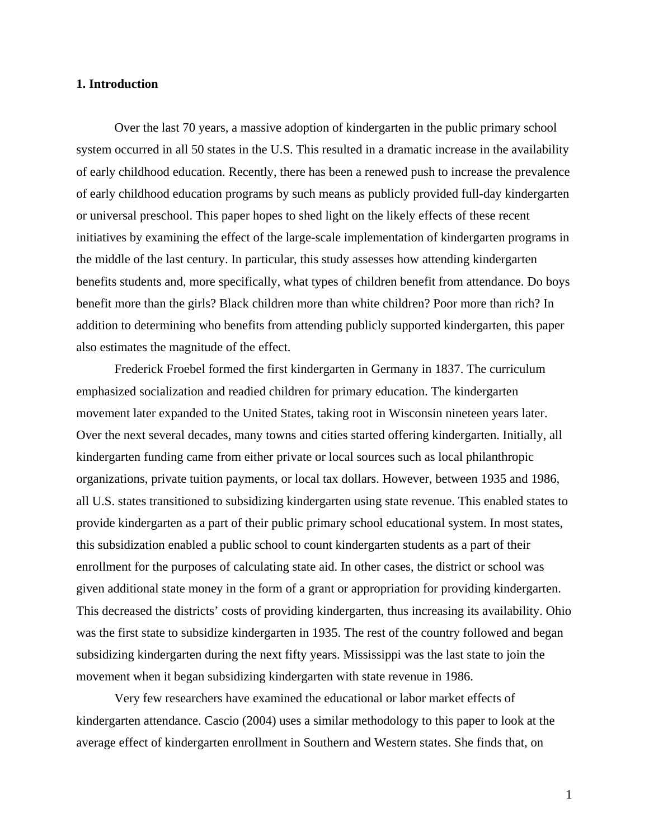#### **1. Introduction**

 Over the last 70 years, a massive adoption of kindergarten in the public primary school system occurred in all 50 states in the U.S. This resulted in a dramatic increase in the availability of early childhood education. Recently, there has been a renewed push to increase the prevalence of early childhood education programs by such means as publicly provided full-day kindergarten or universal preschool. This paper hopes to shed light on the likely effects of these recent initiatives by examining the effect of the large-scale implementation of kindergarten programs in the middle of the last century. In particular, this study assesses how attending kindergarten benefits students and, more specifically, what types of children benefit from attendance. Do boys benefit more than the girls? Black children more than white children? Poor more than rich? In addition to determining who benefits from attending publicly supported kindergarten, this paper also estimates the magnitude of the effect.

 Frederick Froebel formed the first kindergarten in Germany in 1837. The curriculum emphasized socialization and readied children for primary education. The kindergarten movement later expanded to the United States, taking root in Wisconsin nineteen years later. Over the next several decades, many towns and cities started offering kindergarten. Initially, all kindergarten funding came from either private or local sources such as local philanthropic organizations, private tuition payments, or local tax dollars. However, between 1935 and 1986, all U.S. states transitioned to subsidizing kindergarten using state revenue. This enabled states to provide kindergarten as a part of their public primary school educational system. In most states, this subsidization enabled a public school to count kindergarten students as a part of their enrollment for the purposes of calculating state aid. In other cases, the district or school was given additional state money in the form of a grant or appropriation for providing kindergarten. This decreased the districts' costs of providing kindergarten, thus increasing its availability. Ohio was the first state to subsidize kindergarten in 1935. The rest of the country followed and began subsidizing kindergarten during the next fifty years. Mississippi was the last state to join the movement when it began subsidizing kindergarten with state revenue in 1986.

 Very few researchers have examined the educational or labor market effects of kindergarten attendance. Cascio (2004) uses a similar methodology to this paper to look at the average effect of kindergarten enrollment in Southern and Western states. She finds that, on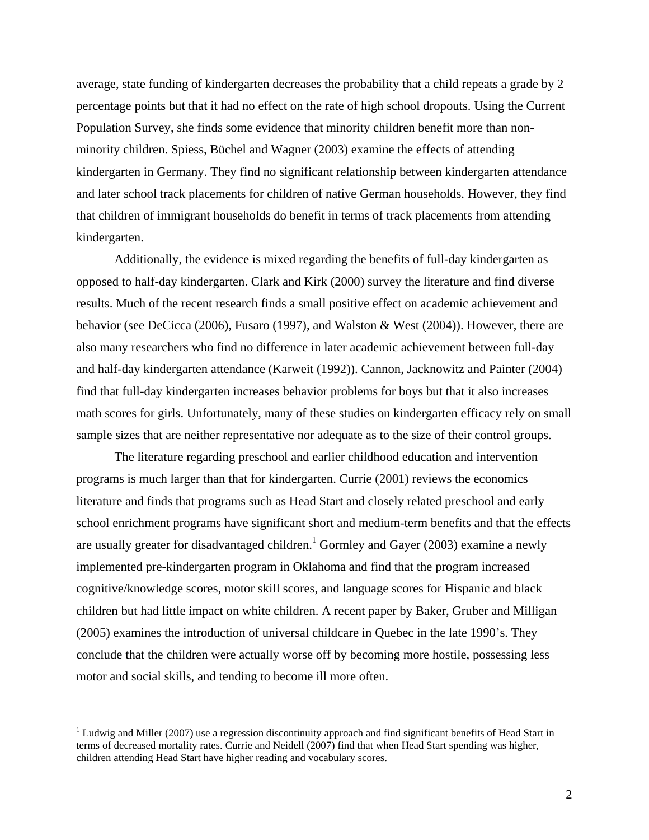average, state funding of kindergarten decreases the probability that a child repeats a grade by 2 percentage points but that it had no effect on the rate of high school dropouts. Using the Current Population Survey, she finds some evidence that minority children benefit more than nonminority children. Spiess, Büchel and Wagner (2003) examine the effects of attending kindergarten in Germany. They find no significant relationship between kindergarten attendance and later school track placements for children of native German households. However, they find that children of immigrant households do benefit in terms of track placements from attending kindergarten.

 Additionally, the evidence is mixed regarding the benefits of full-day kindergarten as opposed to half-day kindergarten. Clark and Kirk (2000) survey the literature and find diverse results. Much of the recent research finds a small positive effect on academic achievement and behavior (see DeCicca (2006), Fusaro (1997), and Walston & West (2004)). However, there are also many researchers who find no difference in later academic achievement between full-day and half-day kindergarten attendance (Karweit (1992)). Cannon, Jacknowitz and Painter (2004) find that full-day kindergarten increases behavior problems for boys but that it also increases math scores for girls. Unfortunately, many of these studies on kindergarten efficacy rely on small sample sizes that are neither representative nor adequate as to the size of their control groups.

 The literature regarding preschool and earlier childhood education and intervention programs is much larger than that for kindergarten. Currie (2001) reviews the economics literature and finds that programs such as Head Start and closely related preschool and early school enrichment programs have significant short and medium-term benefits and that the effects are usually greater for disadvantaged children.<sup>1</sup> Gormley and Gayer (2003) examine a newly implemented pre-kindergarten program in Oklahoma and find that the program increased cognitive/knowledge scores, motor skill scores, and language scores for Hispanic and black children but had little impact on white children. A recent paper by Baker, Gruber and Milligan (2005) examines the introduction of universal childcare in Quebec in the late 1990's. They conclude that the children were actually worse off by becoming more hostile, possessing less motor and social skills, and tending to become ill more often.

 $\overline{a}$ 

 $1$  Ludwig and Miller (2007) use a regression discontinuity approach and find significant benefits of Head Start in terms of decreased mortality rates. Currie and Neidell (2007) find that when Head Start spending was higher, children attending Head Start have higher reading and vocabulary scores.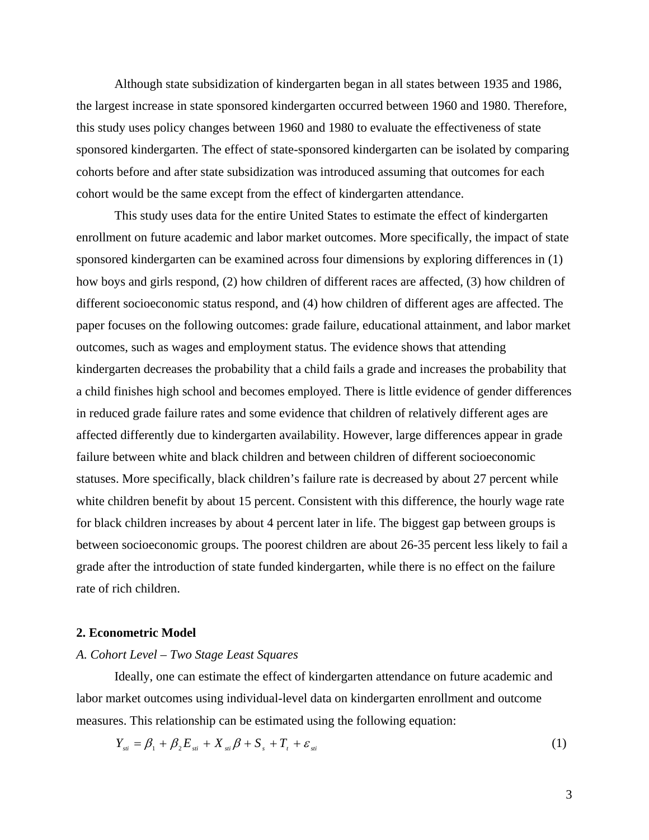Although state subsidization of kindergarten began in all states between 1935 and 1986, the largest increase in state sponsored kindergarten occurred between 1960 and 1980. Therefore, this study uses policy changes between 1960 and 1980 to evaluate the effectiveness of state sponsored kindergarten. The effect of state-sponsored kindergarten can be isolated by comparing cohorts before and after state subsidization was introduced assuming that outcomes for each cohort would be the same except from the effect of kindergarten attendance.

 This study uses data for the entire United States to estimate the effect of kindergarten enrollment on future academic and labor market outcomes. More specifically, the impact of state sponsored kindergarten can be examined across four dimensions by exploring differences in (1) how boys and girls respond, (2) how children of different races are affected, (3) how children of different socioeconomic status respond, and (4) how children of different ages are affected. The paper focuses on the following outcomes: grade failure, educational attainment, and labor market outcomes, such as wages and employment status. The evidence shows that attending kindergarten decreases the probability that a child fails a grade and increases the probability that a child finishes high school and becomes employed. There is little evidence of gender differences in reduced grade failure rates and some evidence that children of relatively different ages are affected differently due to kindergarten availability. However, large differences appear in grade failure between white and black children and between children of different socioeconomic statuses. More specifically, black children's failure rate is decreased by about 27 percent while white children benefit by about 15 percent. Consistent with this difference, the hourly wage rate for black children increases by about 4 percent later in life. The biggest gap between groups is between socioeconomic groups. The poorest children are about 26-35 percent less likely to fail a grade after the introduction of state funded kindergarten, while there is no effect on the failure rate of rich children.

#### **2. Econometric Model**

#### *A. Cohort Level – Two Stage Least Squares*

Ideally, one can estimate the effect of kindergarten attendance on future academic and labor market outcomes using individual-level data on kindergarten enrollment and outcome measures. This relationship can be estimated using the following equation:

$$
Y_{sii} = \beta_1 + \beta_2 E_{sii} + X_{sii} \beta + S_s + T_t + \varepsilon_{sii}
$$
 (1)

3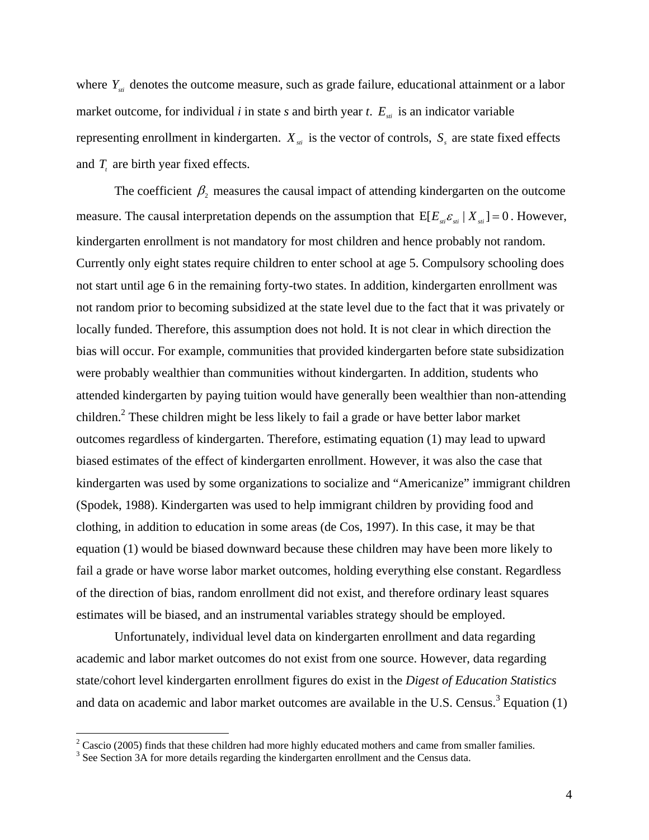where *Y<sub>sti</sub>* denotes the outcome measure, such as grade failure, educational attainment or a labor market outcome, for individual *i* in state *s* and birth year *t*.  $E_{si}$  is an indicator variable representing enrollment in kindergarten.  $X_{st}$  is the vector of controls,  $S_{st}$  are state fixed effects and  $T<sub>t</sub>$  are birth year fixed effects.

The coefficient  $\beta_2$  measures the causal impact of attending kindergarten on the outcome measure. The causal interpretation depends on the assumption that  $E[E_{si} \varepsilon_{si} | X_{si}] = 0$ . However, kindergarten enrollment is not mandatory for most children and hence probably not random. Currently only eight states require children to enter school at age 5. Compulsory schooling does not start until age 6 in the remaining forty-two states. In addition, kindergarten enrollment was not random prior to becoming subsidized at the state level due to the fact that it was privately or locally funded. Therefore, this assumption does not hold. It is not clear in which direction the bias will occur. For example, communities that provided kindergarten before state subsidization were probably wealthier than communities without kindergarten. In addition, students who attended kindergarten by paying tuition would have generally been wealthier than non-attending children.<sup>2</sup> These children might be less likely to fail a grade or have better labor market outcomes regardless of kindergarten. Therefore, estimating equation (1) may lead to upward biased estimates of the effect of kindergarten enrollment. However, it was also the case that kindergarten was used by some organizations to socialize and "Americanize" immigrant children (Spodek, 1988). Kindergarten was used to help immigrant children by providing food and clothing, in addition to education in some areas (de Cos, 1997). In this case, it may be that equation (1) would be biased downward because these children may have been more likely to fail a grade or have worse labor market outcomes, holding everything else constant. Regardless of the direction of bias, random enrollment did not exist, and therefore ordinary least squares estimates will be biased, and an instrumental variables strategy should be employed.

 Unfortunately, individual level data on kindergarten enrollment and data regarding academic and labor market outcomes do not exist from one source. However, data regarding state/cohort level kindergarten enrollment figures do exist in the *Digest of Education Statistics*  and data on academic and labor market outcomes are available in the U.S. Census.<sup>3</sup> Equation (1)

<sup>&</sup>lt;sup>2</sup> Cascio (2005) finds that these children had more highly educated mothers and came from smaller families.

<sup>&</sup>lt;sup>3</sup> See Section 3A for more details regarding the kindergarten enrollment and the Census data.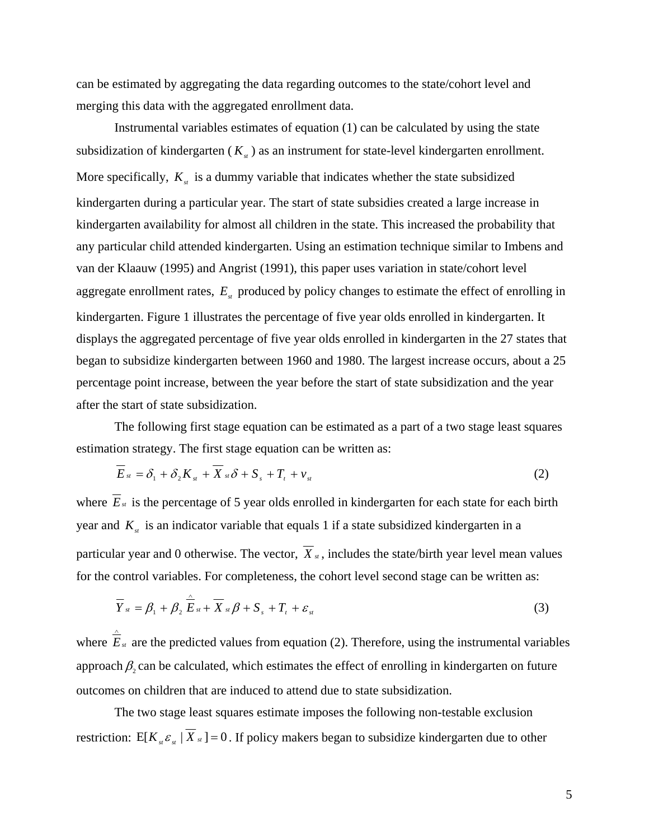can be estimated by aggregating the data regarding outcomes to the state/cohort level and merging this data with the aggregated enrollment data.

 Instrumental variables estimates of equation (1) can be calculated by using the state subsidization of kindergarten  $(K_{st})$  as an instrument for state-level kindergarten enrollment. More specifically,  $K_{st}$  is a dummy variable that indicates whether the state subsidized kindergarten during a particular year. The start of state subsidies created a large increase in kindergarten availability for almost all children in the state. This increased the probability that any particular child attended kindergarten. Using an estimation technique similar to Imbens and van der Klaauw (1995) and Angrist (1991), this paper uses variation in state/cohort level aggregate enrollment rates,  $E_{st}$  produced by policy changes to estimate the effect of enrolling in kindergarten. Figure 1 illustrates the percentage of five year olds enrolled in kindergarten. It displays the aggregated percentage of five year olds enrolled in kindergarten in the 27 states that began to subsidize kindergarten between 1960 and 1980. The largest increase occurs, about a 25 percentage point increase, between the year before the start of state subsidization and the year after the start of state subsidization.

 The following first stage equation can be estimated as a part of a two stage least squares estimation strategy. The first stage equation can be written as:

$$
E_{st} = \delta_1 + \delta_2 K_{st} + X_{st}\delta + S_s + T_t + \nu_{st}
$$
\n<sup>(2)</sup>

where  $\overline{E}_{st}$  is the percentage of 5 year olds enrolled in kindergarten for each state for each birth year and  $K_{st}$  is an indicator variable that equals 1 if a state subsidized kindergarten in a particular year and 0 otherwise. The vector,  $\overline{X}_{st}$ , includes the state/birth year level mean values for the control variables. For completeness, the cohort level second stage can be written as:

$$
\overline{Y}_{st} = \beta_1 + \beta_2 \mathop{\stackrel{\sim}{E}}_{st} + \overline{X}_{st} \beta + S_s + T_t + \varepsilon_{st}
$$
\n(3)

where *Est* are the predicted values from equation (2). Therefore, using the instrumental variables approach  $\beta_2$  can be calculated, which estimates the effect of enrolling in kindergarten on future outcomes on children that are induced to attend due to state subsidization.

∧

 The two stage least squares estimate imposes the following non-testable exclusion restriction: E[ $K_s \varepsilon_{st}$  |  $\overline{X}_{st}$ ] = 0. If policy makers began to subsidize kindergarten due to other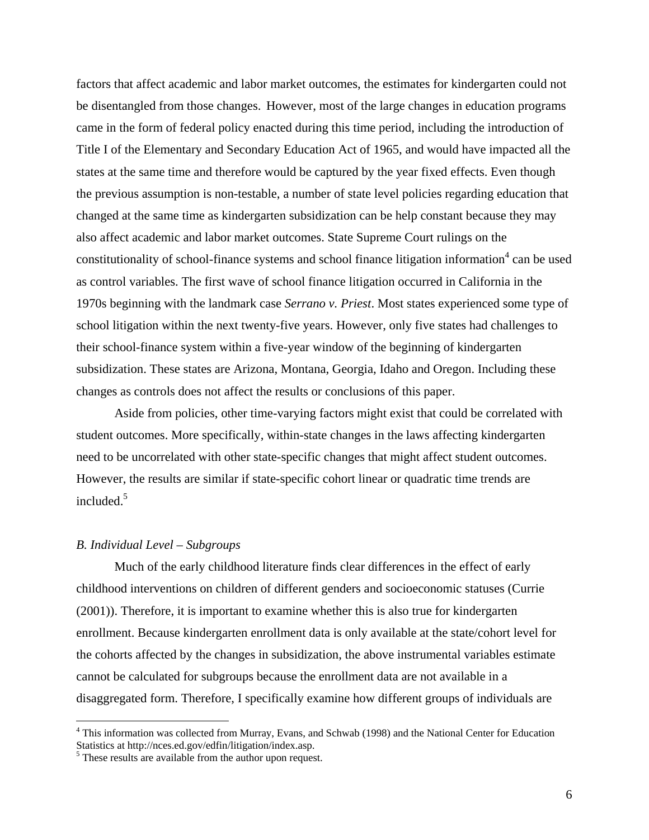factors that affect academic and labor market outcomes, the estimates for kindergarten could not be disentangled from those changes. However, most of the large changes in education programs came in the form of federal policy enacted during this time period, including the introduction of Title I of the Elementary and Secondary Education Act of 1965, and would have impacted all the states at the same time and therefore would be captured by the year fixed effects. Even though the previous assumption is non-testable, a number of state level policies regarding education that changed at the same time as kindergarten subsidization can be help constant because they may also affect academic and labor market outcomes. State Supreme Court rulings on the constitutionality of school-finance systems and school finance litigation information<sup>4</sup> can be used as control variables. The first wave of school finance litigation occurred in California in the 1970s beginning with the landmark case *Serrano v. Priest*. Most states experienced some type of school litigation within the next twenty-five years. However, only five states had challenges to their school-finance system within a five-year window of the beginning of kindergarten subsidization. These states are Arizona, Montana, Georgia, Idaho and Oregon. Including these changes as controls does not affect the results or conclusions of this paper.

 Aside from policies, other time-varying factors might exist that could be correlated with student outcomes. More specifically, within-state changes in the laws affecting kindergarten need to be uncorrelated with other state-specific changes that might affect student outcomes. However, the results are similar if state-specific cohort linear or quadratic time trends are included.<sup>5</sup>

### *B. Individual Level – Subgroups*

 $\overline{a}$ 

 Much of the early childhood literature finds clear differences in the effect of early childhood interventions on children of different genders and socioeconomic statuses (Currie (2001)). Therefore, it is important to examine whether this is also true for kindergarten enrollment. Because kindergarten enrollment data is only available at the state/cohort level for the cohorts affected by the changes in subsidization, the above instrumental variables estimate cannot be calculated for subgroups because the enrollment data are not available in a disaggregated form. Therefore, I specifically examine how different groups of individuals are

<sup>&</sup>lt;sup>4</sup> This information was collected from Murray, Evans, and Schwab (1998) and the National Center for Education Statistics at http://nces.ed.gov/edfin/litigation/index.asp.

<sup>&</sup>lt;sup>5</sup> These results are available from the author upon request.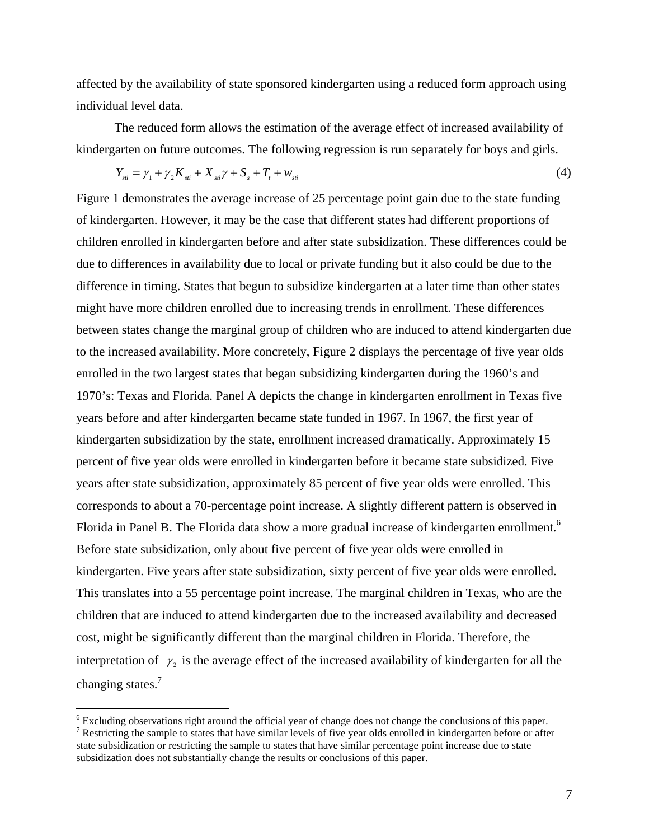affected by the availability of state sponsored kindergarten using a reduced form approach using individual level data.

 The reduced form allows the estimation of the average effect of increased availability of kindergarten on future outcomes. The following regression is run separately for boys and girls.

$$
Y_{\rm st} = \gamma_1 + \gamma_2 K_{\rm st} + X_{\rm st} \gamma + S_{\rm s} + T_{\rm t} + w_{\rm st} \tag{4}
$$

Figure 1 demonstrates the average increase of 25 percentage point gain due to the state funding of kindergarten. However, it may be the case that different states had different proportions of children enrolled in kindergarten before and after state subsidization. These differences could be due to differences in availability due to local or private funding but it also could be due to the difference in timing. States that begun to subsidize kindergarten at a later time than other states might have more children enrolled due to increasing trends in enrollment. These differences between states change the marginal group of children who are induced to attend kindergarten due to the increased availability. More concretely, Figure 2 displays the percentage of five year olds enrolled in the two largest states that began subsidizing kindergarten during the 1960's and 1970's: Texas and Florida. Panel A depicts the change in kindergarten enrollment in Texas five years before and after kindergarten became state funded in 1967. In 1967, the first year of kindergarten subsidization by the state, enrollment increased dramatically. Approximately 15 percent of five year olds were enrolled in kindergarten before it became state subsidized. Five years after state subsidization, approximately 85 percent of five year olds were enrolled. This corresponds to about a 70-percentage point increase. A slightly different pattern is observed in Florida in Panel B. The Florida data show a more gradual increase of kindergarten enrollment.<sup>6</sup> Before state subsidization, only about five percent of five year olds were enrolled in kindergarten. Five years after state subsidization, sixty percent of five year olds were enrolled. This translates into a 55 percentage point increase. The marginal children in Texas, who are the children that are induced to attend kindergarten due to the increased availability and decreased cost, might be significantly different than the marginal children in Florida. Therefore, the interpretation of  $\gamma$ , is the average effect of the increased availability of kindergarten for all the changing states. $<sup>7</sup>$ </sup>

 $\overline{a}$ 

 $^6$  Excluding observations right around the official year of change does not change the conclusions of this paper.<br><sup>7</sup> Postricting the sample to states that have similar layels of five year olds enrolled in kindergarten

<sup>&</sup>lt;sup>7</sup> Restricting the sample to states that have similar levels of five year olds enrolled in kindergarten before or after state subsidization or restricting the sample to states that have similar percentage point increase due to state subsidization does not substantially change the results or conclusions of this paper.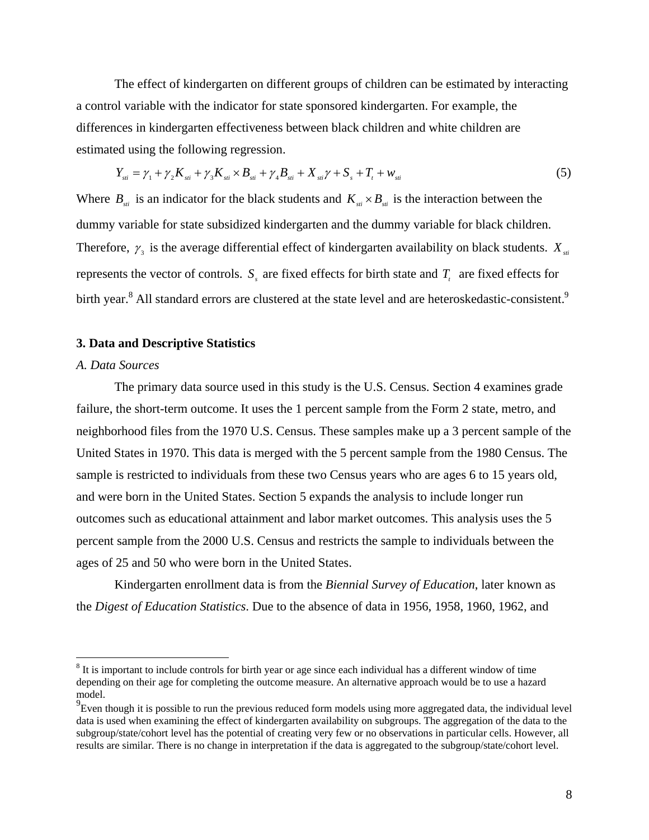The effect of kindergarten on different groups of children can be estimated by interacting a control variable with the indicator for state sponsored kindergarten. For example, the differences in kindergarten effectiveness between black children and white children are estimated using the following regression.

$$
Y_{\rm st} = \gamma_1 + \gamma_2 K_{\rm st} + \gamma_3 K_{\rm st} \times B_{\rm st} + \gamma_4 B_{\rm st} + X_{\rm st} \gamma + S_{\rm s} + T_{\rm t} + w_{\rm st}
$$
(5)

Where  $B_{st}$  is an indicator for the black students and  $K_{st} \times B_{st}$  is the interaction between the dummy variable for state subsidized kindergarten and the dummy variable for black children. Therefore,  $\gamma_3$  is the average differential effect of kindergarten availability on black students.  $X_{st}$ represents the vector of controls.  $S<sub>s</sub>$  are fixed effects for birth state and  $T<sub>t</sub>$  are fixed effects for birth year.<sup>8</sup> All standard errors are clustered at the state level and are heteroskedastic-consistent.<sup>9</sup>

#### **3. Data and Descriptive Statistics**

### *A. Data Sources*

1

 The primary data source used in this study is the U.S. Census. Section 4 examines grade failure, the short-term outcome. It uses the 1 percent sample from the Form 2 state, metro, and neighborhood files from the 1970 U.S. Census. These samples make up a 3 percent sample of the United States in 1970. This data is merged with the 5 percent sample from the 1980 Census. The sample is restricted to individuals from these two Census years who are ages 6 to 15 years old, and were born in the United States. Section 5 expands the analysis to include longer run outcomes such as educational attainment and labor market outcomes. This analysis uses the 5 percent sample from the 2000 U.S. Census and restricts the sample to individuals between the ages of 25 and 50 who were born in the United States.

Kindergarten enrollment data is from the *Biennial Survey of Education*, later known as the *Digest of Education Statistics*. Due to the absence of data in 1956, 1958, 1960, 1962, and

 $8$  It is important to include controls for birth year or age since each individual has a different window of time depending on their age for completing the outcome measure. An alternative approach would be to use a hazard model.

 $^{9}$ Even though it is possible to run the previous reduced form models using more aggregated data, the individual level data is used when examining the effect of kindergarten availability on subgroups. The aggregation of the data to the subgroup/state/cohort level has the potential of creating very few or no observations in particular cells. However, all results are similar. There is no change in interpretation if the data is aggregated to the subgroup/state/cohort level.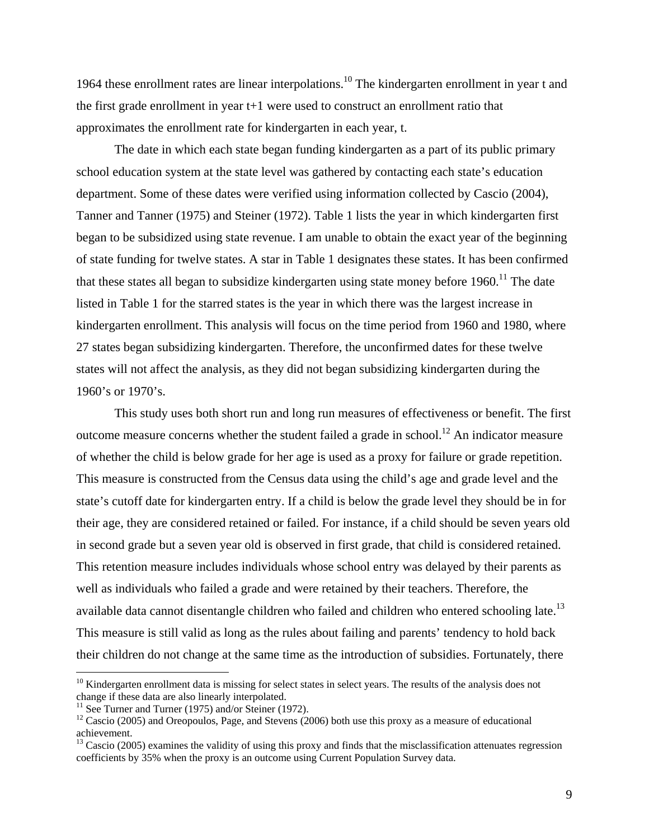1964 these enrollment rates are linear interpolations.<sup>10</sup> The kindergarten enrollment in year t and the first grade enrollment in year t+1 were used to construct an enrollment ratio that approximates the enrollment rate for kindergarten in each year, t.

 The date in which each state began funding kindergarten as a part of its public primary school education system at the state level was gathered by contacting each state's education department. Some of these dates were verified using information collected by Cascio (2004), Tanner and Tanner (1975) and Steiner (1972). Table 1 lists the year in which kindergarten first began to be subsidized using state revenue. I am unable to obtain the exact year of the beginning of state funding for twelve states. A star in Table 1 designates these states. It has been confirmed that these states all began to subsidize kindergarten using state money before  $1960$ .<sup>11</sup> The date listed in Table 1 for the starred states is the year in which there was the largest increase in kindergarten enrollment. This analysis will focus on the time period from 1960 and 1980, where 27 states began subsidizing kindergarten. Therefore, the unconfirmed dates for these twelve states will not affect the analysis, as they did not began subsidizing kindergarten during the 1960's or 1970's.

 This study uses both short run and long run measures of effectiveness or benefit. The first outcome measure concerns whether the student failed a grade in school.<sup>12</sup> An indicator measure of whether the child is below grade for her age is used as a proxy for failure or grade repetition. This measure is constructed from the Census data using the child's age and grade level and the state's cutoff date for kindergarten entry. If a child is below the grade level they should be in for their age, they are considered retained or failed. For instance, if a child should be seven years old in second grade but a seven year old is observed in first grade, that child is considered retained. This retention measure includes individuals whose school entry was delayed by their parents as well as individuals who failed a grade and were retained by their teachers. Therefore, the available data cannot disentangle children who failed and children who entered schooling late.<sup>13</sup> This measure is still valid as long as the rules about failing and parents' tendency to hold back their children do not change at the same time as the introduction of subsidies. Fortunately, there

<u>.</u>

 $10$  Kindergarten enrollment data is missing for select states in select years. The results of the analysis does not change if these data are also linearly interpolated.

 $11$  See Turner and Turner (1975) and/or Steiner (1972).

 $12$  Cascio (2005) and Oreopoulos, Page, and Stevens (2006) both use this proxy as a measure of educational achievement.

 $13$  Cascio (2005) examines the validity of using this proxy and finds that the misclassification attenuates regression coefficients by 35% when the proxy is an outcome using Current Population Survey data.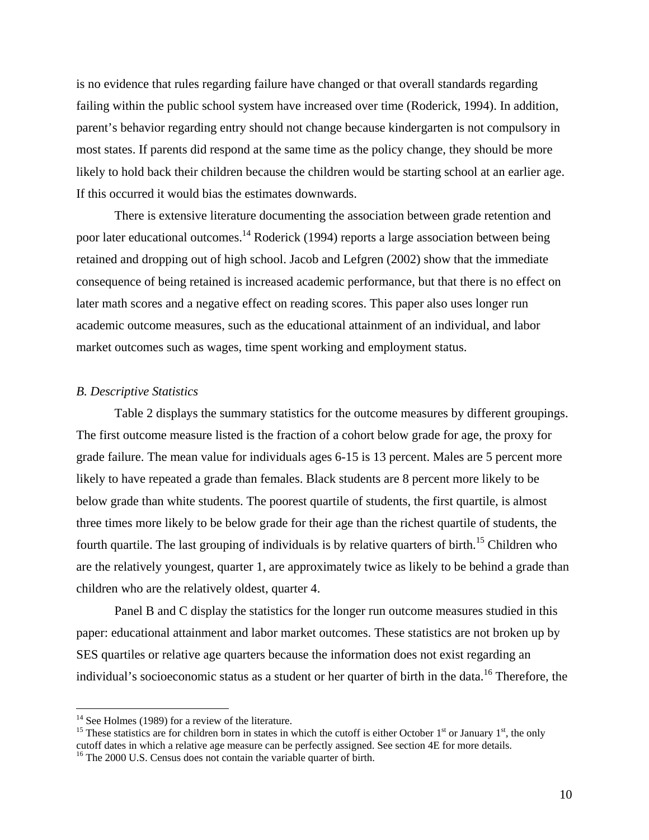is no evidence that rules regarding failure have changed or that overall standards regarding failing within the public school system have increased over time (Roderick, 1994). In addition, parent's behavior regarding entry should not change because kindergarten is not compulsory in most states. If parents did respond at the same time as the policy change, they should be more likely to hold back their children because the children would be starting school at an earlier age. If this occurred it would bias the estimates downwards.

There is extensive literature documenting the association between grade retention and poor later educational outcomes.<sup>14</sup> Roderick (1994) reports a large association between being retained and dropping out of high school. Jacob and Lefgren (2002) show that the immediate consequence of being retained is increased academic performance, but that there is no effect on later math scores and a negative effect on reading scores. This paper also uses longer run academic outcome measures, such as the educational attainment of an individual, and labor market outcomes such as wages, time spent working and employment status.

#### *B. Descriptive Statistics*

Table 2 displays the summary statistics for the outcome measures by different groupings. The first outcome measure listed is the fraction of a cohort below grade for age, the proxy for grade failure. The mean value for individuals ages 6-15 is 13 percent. Males are 5 percent more likely to have repeated a grade than females. Black students are 8 percent more likely to be below grade than white students. The poorest quartile of students, the first quartile, is almost three times more likely to be below grade for their age than the richest quartile of students, the fourth quartile. The last grouping of individuals is by relative quarters of birth.<sup>15</sup> Children who are the relatively youngest, quarter 1, are approximately twice as likely to be behind a grade than children who are the relatively oldest, quarter 4.

Panel B and C display the statistics for the longer run outcome measures studied in this paper: educational attainment and labor market outcomes. These statistics are not broken up by SES quartiles or relative age quarters because the information does not exist regarding an individual's socioeconomic status as a student or her quarter of birth in the data.<sup>16</sup> Therefore, the

<u>.</u>

 $14$  See Holmes (1989) for a review of the literature.

<sup>&</sup>lt;sup>15</sup> These statistics are for children born in states in which the cutoff is either October  $1<sup>st</sup>$  or January  $1<sup>st</sup>$ , the only cutoff dates in which a relative age measure can be perfectly assigned. See section 4E for more details.

<sup>&</sup>lt;sup>16</sup> The 2000 U.S. Census does not contain the variable quarter of birth.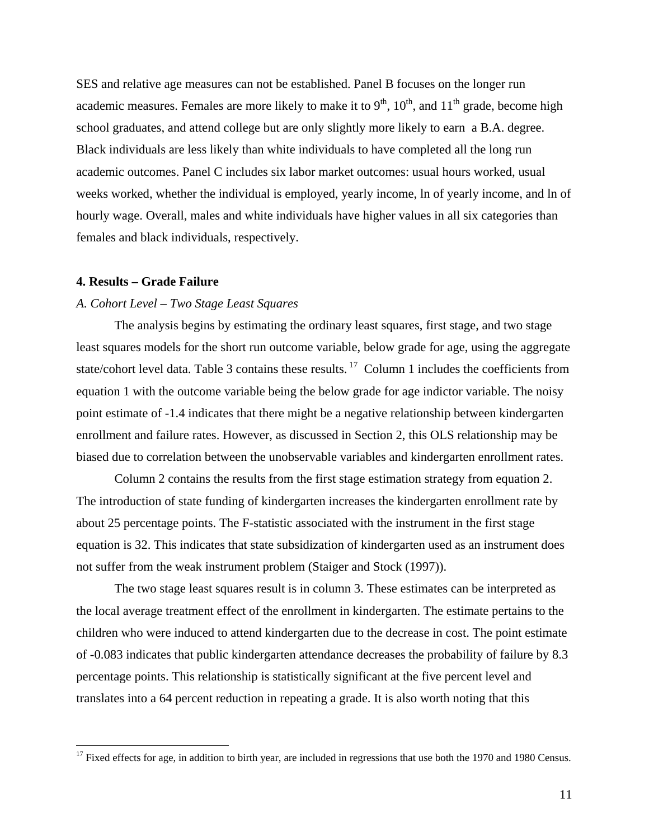SES and relative age measures can not be established. Panel B focuses on the longer run academic measures. Females are more likely to make it to  $9<sup>th</sup>$ ,  $10<sup>th</sup>$ , and  $11<sup>th</sup>$  grade, become high school graduates, and attend college but are only slightly more likely to earn a B.A. degree. Black individuals are less likely than white individuals to have completed all the long run academic outcomes. Panel C includes six labor market outcomes: usual hours worked, usual weeks worked, whether the individual is employed, yearly income, ln of yearly income, and ln of hourly wage. Overall, males and white individuals have higher values in all six categories than females and black individuals, respectively.

#### **4. Results – Grade Failure**

 $\overline{a}$ 

#### *A. Cohort Level – Two Stage Least Squares*

 The analysis begins by estimating the ordinary least squares, first stage, and two stage least squares models for the short run outcome variable, below grade for age, using the aggregate state/cohort level data. Table 3 contains these results.<sup>17</sup> Column 1 includes the coefficients from equation 1 with the outcome variable being the below grade for age indictor variable. The noisy point estimate of -1.4 indicates that there might be a negative relationship between kindergarten enrollment and failure rates. However, as discussed in Section 2, this OLS relationship may be biased due to correlation between the unobservable variables and kindergarten enrollment rates.

 Column 2 contains the results from the first stage estimation strategy from equation 2. The introduction of state funding of kindergarten increases the kindergarten enrollment rate by about 25 percentage points. The F-statistic associated with the instrument in the first stage equation is 32. This indicates that state subsidization of kindergarten used as an instrument does not suffer from the weak instrument problem (Staiger and Stock (1997)).

 The two stage least squares result is in column 3. These estimates can be interpreted as the local average treatment effect of the enrollment in kindergarten. The estimate pertains to the children who were induced to attend kindergarten due to the decrease in cost. The point estimate of -0.083 indicates that public kindergarten attendance decreases the probability of failure by 8.3 percentage points. This relationship is statistically significant at the five percent level and translates into a 64 percent reduction in repeating a grade. It is also worth noting that this

 $17$  Fixed effects for age, in addition to birth year, are included in regressions that use both the 1970 and 1980 Census.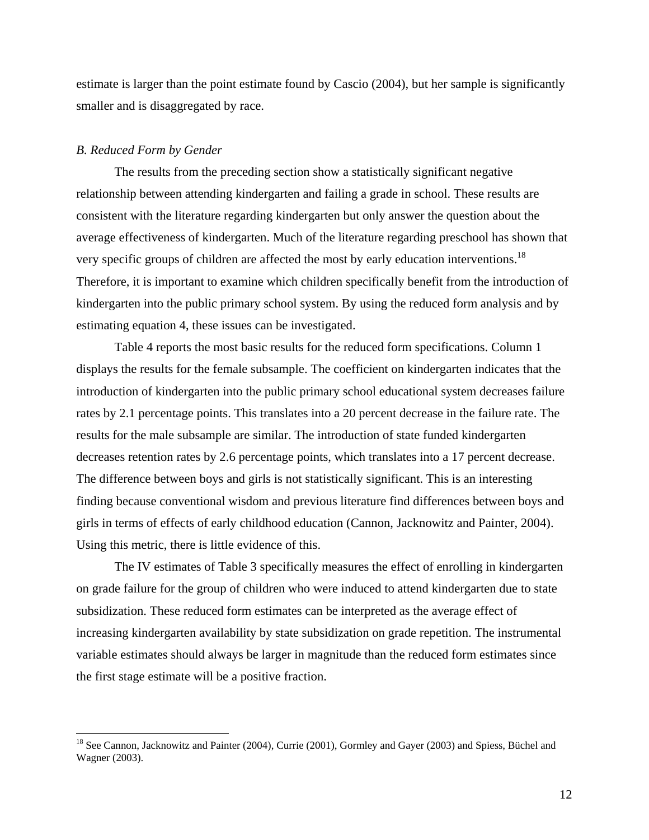estimate is larger than the point estimate found by Cascio (2004), but her sample is significantly smaller and is disaggregated by race.

#### *B. Reduced Form by Gender*

 $\overline{a}$ 

 The results from the preceding section show a statistically significant negative relationship between attending kindergarten and failing a grade in school. These results are consistent with the literature regarding kindergarten but only answer the question about the average effectiveness of kindergarten. Much of the literature regarding preschool has shown that very specific groups of children are affected the most by early education interventions.<sup>18</sup> Therefore, it is important to examine which children specifically benefit from the introduction of kindergarten into the public primary school system. By using the reduced form analysis and by estimating equation 4, these issues can be investigated.

 Table 4 reports the most basic results for the reduced form specifications. Column 1 displays the results for the female subsample. The coefficient on kindergarten indicates that the introduction of kindergarten into the public primary school educational system decreases failure rates by 2.1 percentage points. This translates into a 20 percent decrease in the failure rate. The results for the male subsample are similar. The introduction of state funded kindergarten decreases retention rates by 2.6 percentage points, which translates into a 17 percent decrease. The difference between boys and girls is not statistically significant. This is an interesting finding because conventional wisdom and previous literature find differences between boys and girls in terms of effects of early childhood education (Cannon, Jacknowitz and Painter, 2004). Using this metric, there is little evidence of this.

 The IV estimates of Table 3 specifically measures the effect of enrolling in kindergarten on grade failure for the group of children who were induced to attend kindergarten due to state subsidization. These reduced form estimates can be interpreted as the average effect of increasing kindergarten availability by state subsidization on grade repetition. The instrumental variable estimates should always be larger in magnitude than the reduced form estimates since the first stage estimate will be a positive fraction.

<sup>&</sup>lt;sup>18</sup> See Cannon, Jacknowitz and Painter (2004), Currie (2001), Gormley and Gayer (2003) and Spiess, Büchel and Wagner (2003).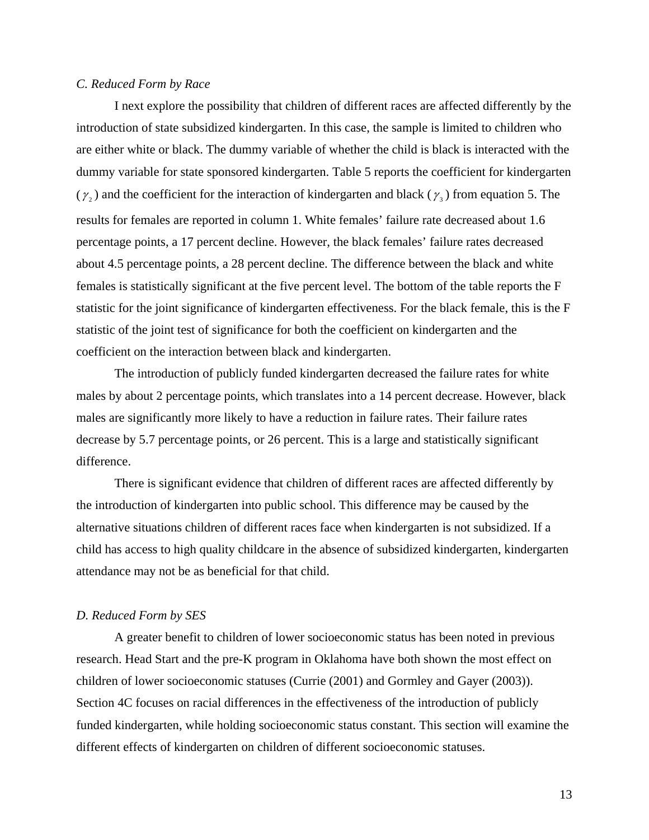### *C. Reduced Form by Race*

 I next explore the possibility that children of different races are affected differently by the introduction of state subsidized kindergarten. In this case, the sample is limited to children who are either white or black. The dummy variable of whether the child is black is interacted with the dummy variable for state sponsored kindergarten. Table 5 reports the coefficient for kindergarten ( $\gamma$ <sub>2</sub>) and the coefficient for the interaction of kindergarten and black ( $\gamma$ <sub>3</sub>) from equation 5. The results for females are reported in column 1. White females' failure rate decreased about 1.6 percentage points, a 17 percent decline. However, the black females' failure rates decreased about 4.5 percentage points, a 28 percent decline. The difference between the black and white females is statistically significant at the five percent level. The bottom of the table reports the F statistic for the joint significance of kindergarten effectiveness. For the black female, this is the F statistic of the joint test of significance for both the coefficient on kindergarten and the coefficient on the interaction between black and kindergarten.

 The introduction of publicly funded kindergarten decreased the failure rates for white males by about 2 percentage points, which translates into a 14 percent decrease. However, black males are significantly more likely to have a reduction in failure rates. Their failure rates decrease by 5.7 percentage points, or 26 percent. This is a large and statistically significant difference.

 There is significant evidence that children of different races are affected differently by the introduction of kindergarten into public school. This difference may be caused by the alternative situations children of different races face when kindergarten is not subsidized. If a child has access to high quality childcare in the absence of subsidized kindergarten, kindergarten attendance may not be as beneficial for that child.

### *D. Reduced Form by SES*

 A greater benefit to children of lower socioeconomic status has been noted in previous research. Head Start and the pre-K program in Oklahoma have both shown the most effect on children of lower socioeconomic statuses (Currie (2001) and Gormley and Gayer (2003)). Section 4C focuses on racial differences in the effectiveness of the introduction of publicly funded kindergarten, while holding socioeconomic status constant. This section will examine the different effects of kindergarten on children of different socioeconomic statuses.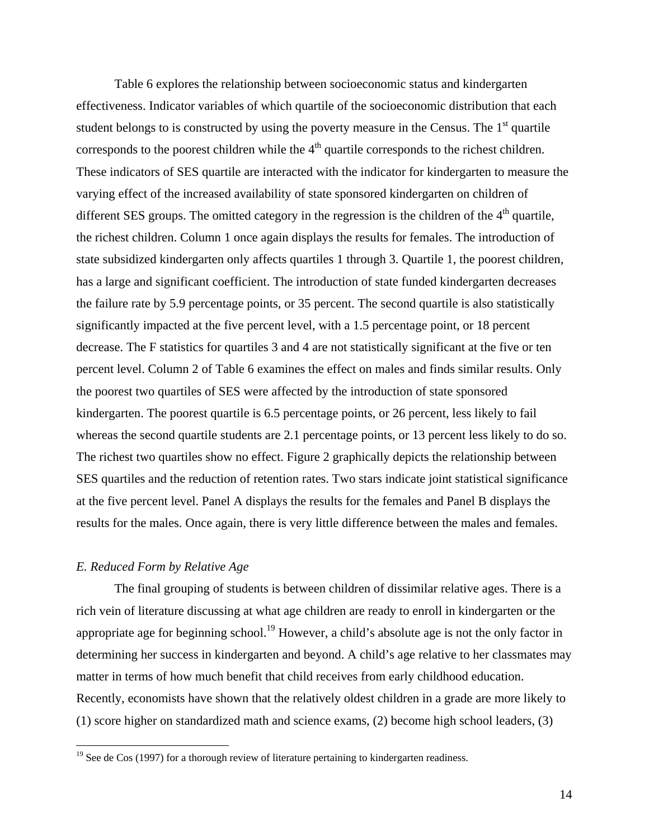Table 6 explores the relationship between socioeconomic status and kindergarten effectiveness. Indicator variables of which quartile of the socioeconomic distribution that each student belongs to is constructed by using the poverty measure in the Census. The  $1<sup>st</sup>$  quartile corresponds to the poorest children while the  $4<sup>th</sup>$  quartile corresponds to the richest children. These indicators of SES quartile are interacted with the indicator for kindergarten to measure the varying effect of the increased availability of state sponsored kindergarten on children of different SES groups. The omitted category in the regression is the children of the  $4<sup>th</sup>$  quartile, the richest children. Column 1 once again displays the results for females. The introduction of state subsidized kindergarten only affects quartiles 1 through 3. Quartile 1, the poorest children, has a large and significant coefficient. The introduction of state funded kindergarten decreases the failure rate by 5.9 percentage points, or 35 percent. The second quartile is also statistically significantly impacted at the five percent level, with a 1.5 percentage point, or 18 percent decrease. The F statistics for quartiles 3 and 4 are not statistically significant at the five or ten percent level. Column 2 of Table 6 examines the effect on males and finds similar results. Only the poorest two quartiles of SES were affected by the introduction of state sponsored kindergarten. The poorest quartile is 6.5 percentage points, or 26 percent, less likely to fail whereas the second quartile students are 2.1 percentage points, or 13 percent less likely to do so. The richest two quartiles show no effect. Figure 2 graphically depicts the relationship between SES quartiles and the reduction of retention rates. Two stars indicate joint statistical significance at the five percent level. Panel A displays the results for the females and Panel B displays the results for the males. Once again, there is very little difference between the males and females.

### *E. Reduced Form by Relative Age*

 $\overline{a}$ 

 The final grouping of students is between children of dissimilar relative ages. There is a rich vein of literature discussing at what age children are ready to enroll in kindergarten or the appropriate age for beginning school.<sup>19</sup> However, a child's absolute age is not the only factor in determining her success in kindergarten and beyond. A child's age relative to her classmates may matter in terms of how much benefit that child receives from early childhood education. Recently, economists have shown that the relatively oldest children in a grade are more likely to (1) score higher on standardized math and science exams, (2) become high school leaders, (3)

 $19$  See de Cos (1997) for a thorough review of literature pertaining to kindergarten readiness.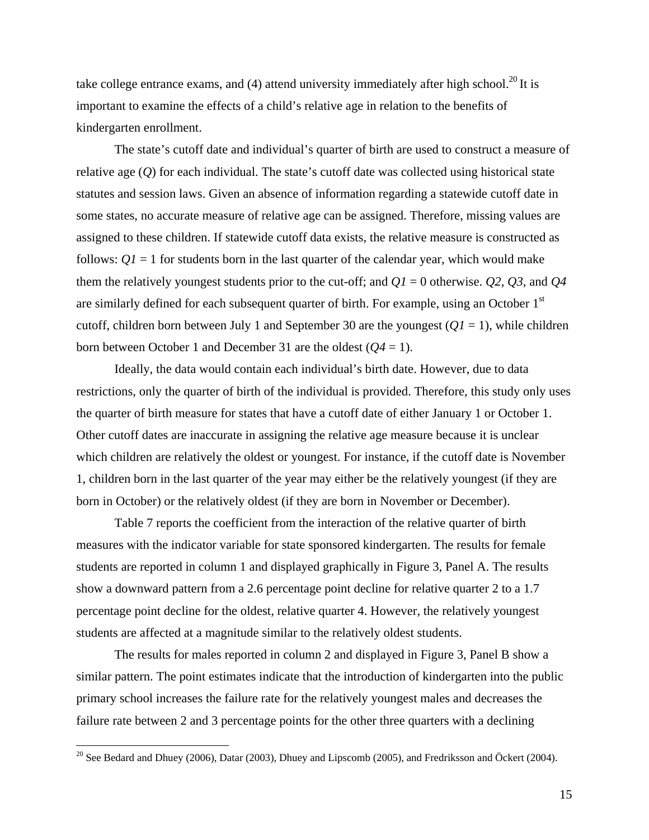take college entrance exams, and  $(4)$  attend university immediately after high school.<sup>20</sup> It is important to examine the effects of a child's relative age in relation to the benefits of kindergarten enrollment.

The state's cutoff date and individual's quarter of birth are used to construct a measure of relative age (*Q*) for each individual. The state's cutoff date was collected using historical state statutes and session laws. Given an absence of information regarding a statewide cutoff date in some states, no accurate measure of relative age can be assigned. Therefore, missing values are assigned to these children. If statewide cutoff data exists, the relative measure is constructed as follows:  $QI = 1$  for students born in the last quarter of the calendar year, which would make them the relatively youngest students prior to the cut-off; and  $QI = 0$  otherwise.  $Q2$ ,  $Q3$ , and  $Q4$ are similarly defined for each subsequent quarter of birth. For example, using an October 1<sup>st</sup> cutoff, children born between July 1 and September 30 are the youngest  $(QI = 1)$ , while children born between October 1 and December 31 are the oldest (*Q4* = 1).

Ideally, the data would contain each individual's birth date. However, due to data restrictions, only the quarter of birth of the individual is provided. Therefore, this study only uses the quarter of birth measure for states that have a cutoff date of either January 1 or October 1. Other cutoff dates are inaccurate in assigning the relative age measure because it is unclear which children are relatively the oldest or youngest. For instance, if the cutoff date is November 1, children born in the last quarter of the year may either be the relatively youngest (if they are born in October) or the relatively oldest (if they are born in November or December).

 Table 7 reports the coefficient from the interaction of the relative quarter of birth measures with the indicator variable for state sponsored kindergarten. The results for female students are reported in column 1 and displayed graphically in Figure 3, Panel A. The results show a downward pattern from a 2.6 percentage point decline for relative quarter 2 to a 1.7 percentage point decline for the oldest, relative quarter 4. However, the relatively youngest students are affected at a magnitude similar to the relatively oldest students.

 The results for males reported in column 2 and displayed in Figure 3, Panel B show a similar pattern. The point estimates indicate that the introduction of kindergarten into the public primary school increases the failure rate for the relatively youngest males and decreases the failure rate between 2 and 3 percentage points for the other three quarters with a declining

 $\overline{a}$ 

<sup>&</sup>lt;sup>20</sup> See Bedard and Dhuey (2006), Datar (2003), Dhuey and Lipscomb (2005), and Fredriksson and Öckert (2004).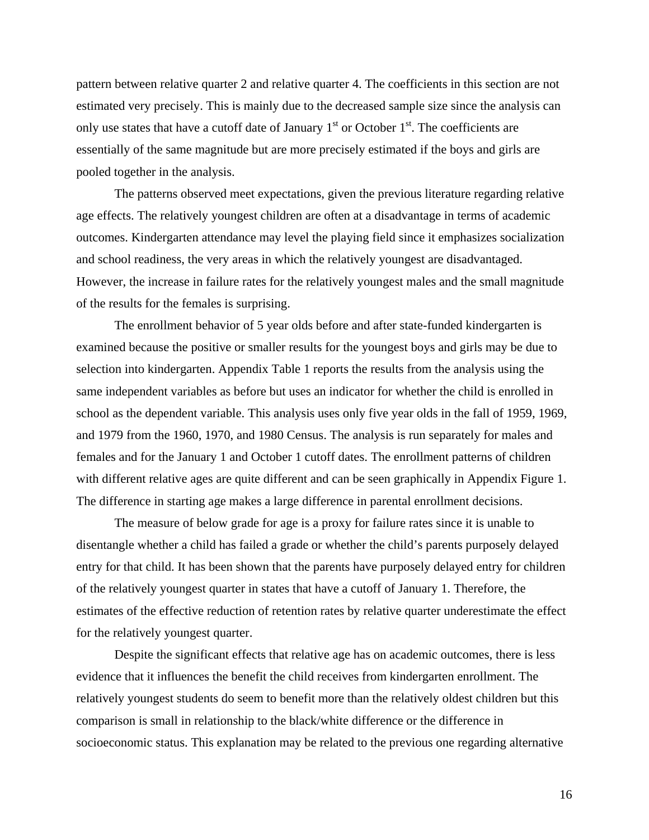pattern between relative quarter 2 and relative quarter 4. The coefficients in this section are not estimated very precisely. This is mainly due to the decreased sample size since the analysis can only use states that have a cutoff date of January  $1<sup>st</sup>$  or October  $1<sup>st</sup>$ . The coefficients are essentially of the same magnitude but are more precisely estimated if the boys and girls are pooled together in the analysis.

The patterns observed meet expectations, given the previous literature regarding relative age effects. The relatively youngest children are often at a disadvantage in terms of academic outcomes. Kindergarten attendance may level the playing field since it emphasizes socialization and school readiness, the very areas in which the relatively youngest are disadvantaged. However, the increase in failure rates for the relatively youngest males and the small magnitude of the results for the females is surprising.

 The enrollment behavior of 5 year olds before and after state-funded kindergarten is examined because the positive or smaller results for the youngest boys and girls may be due to selection into kindergarten. Appendix Table 1 reports the results from the analysis using the same independent variables as before but uses an indicator for whether the child is enrolled in school as the dependent variable. This analysis uses only five year olds in the fall of 1959, 1969, and 1979 from the 1960, 1970, and 1980 Census. The analysis is run separately for males and females and for the January 1 and October 1 cutoff dates. The enrollment patterns of children with different relative ages are quite different and can be seen graphically in Appendix Figure 1. The difference in starting age makes a large difference in parental enrollment decisions.

The measure of below grade for age is a proxy for failure rates since it is unable to disentangle whether a child has failed a grade or whether the child's parents purposely delayed entry for that child. It has been shown that the parents have purposely delayed entry for children of the relatively youngest quarter in states that have a cutoff of January 1. Therefore, the estimates of the effective reduction of retention rates by relative quarter underestimate the effect for the relatively youngest quarter.

Despite the significant effects that relative age has on academic outcomes, there is less evidence that it influences the benefit the child receives from kindergarten enrollment. The relatively youngest students do seem to benefit more than the relatively oldest children but this comparison is small in relationship to the black/white difference or the difference in socioeconomic status. This explanation may be related to the previous one regarding alternative

16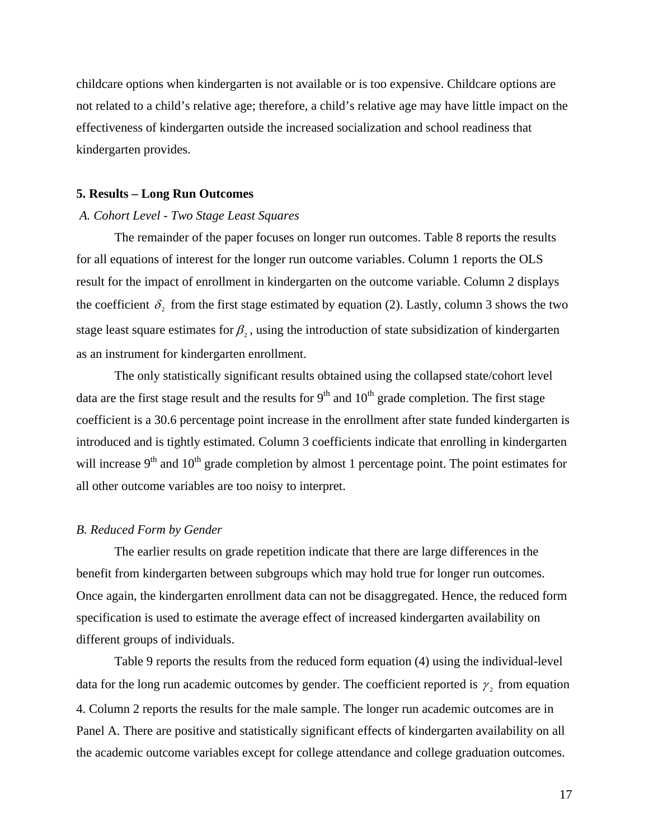childcare options when kindergarten is not available or is too expensive. Childcare options are not related to a child's relative age; therefore, a child's relative age may have little impact on the effectiveness of kindergarten outside the increased socialization and school readiness that kindergarten provides.

#### **5. Results – Long Run Outcomes**

#### *A. Cohort Level - Two Stage Least Squares*

 The remainder of the paper focuses on longer run outcomes. Table 8 reports the results for all equations of interest for the longer run outcome variables. Column 1 reports the OLS result for the impact of enrollment in kindergarten on the outcome variable. Column 2 displays the coefficient  $\delta$ , from the first stage estimated by equation (2). Lastly, column 3 shows the two stage least square estimates for  $\beta_2$ , using the introduction of state subsidization of kindergarten as an instrument for kindergarten enrollment.

 The only statistically significant results obtained using the collapsed state/cohort level data are the first stage result and the results for  $9<sup>th</sup>$  and  $10<sup>th</sup>$  grade completion. The first stage coefficient is a 30.6 percentage point increase in the enrollment after state funded kindergarten is introduced and is tightly estimated. Column 3 coefficients indicate that enrolling in kindergarten will increase  $9<sup>th</sup>$  and  $10<sup>th</sup>$  grade completion by almost 1 percentage point. The point estimates for all other outcome variables are too noisy to interpret.

#### *B. Reduced Form by Gender*

The earlier results on grade repetition indicate that there are large differences in the benefit from kindergarten between subgroups which may hold true for longer run outcomes. Once again, the kindergarten enrollment data can not be disaggregated. Hence, the reduced form specification is used to estimate the average effect of increased kindergarten availability on different groups of individuals.

 Table 9 reports the results from the reduced form equation (4) using the individual-level data for the long run academic outcomes by gender. The coefficient reported is  $\gamma_2$  from equation 4. Column 2 reports the results for the male sample. The longer run academic outcomes are in Panel A. There are positive and statistically significant effects of kindergarten availability on all the academic outcome variables except for college attendance and college graduation outcomes.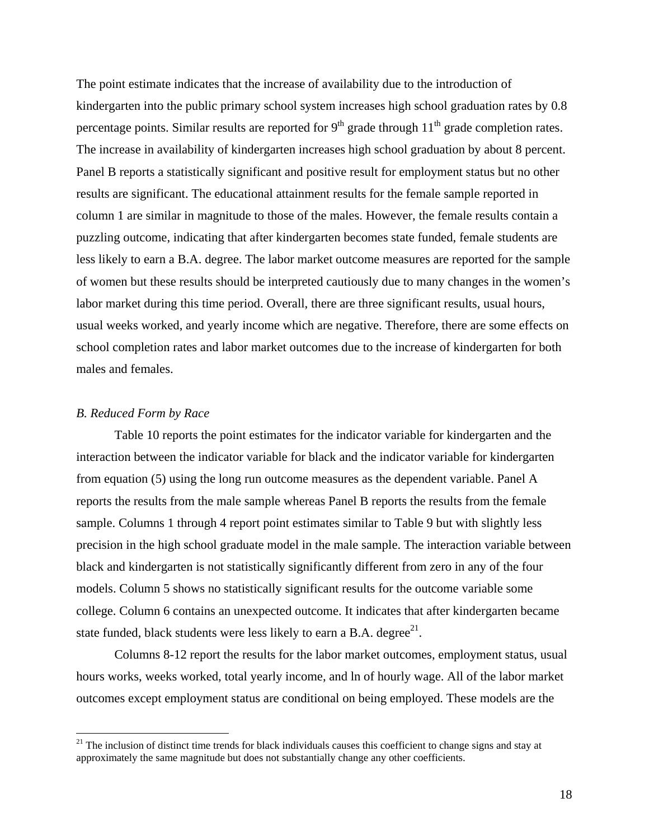The point estimate indicates that the increase of availability due to the introduction of kindergarten into the public primary school system increases high school graduation rates by 0.8 percentage points. Similar results are reported for  $9<sup>th</sup>$  grade through  $11<sup>th</sup>$  grade completion rates. The increase in availability of kindergarten increases high school graduation by about 8 percent. Panel B reports a statistically significant and positive result for employment status but no other results are significant. The educational attainment results for the female sample reported in column 1 are similar in magnitude to those of the males. However, the female results contain a puzzling outcome, indicating that after kindergarten becomes state funded, female students are less likely to earn a B.A. degree. The labor market outcome measures are reported for the sample of women but these results should be interpreted cautiously due to many changes in the women's labor market during this time period. Overall, there are three significant results, usual hours, usual weeks worked, and yearly income which are negative. Therefore, there are some effects on school completion rates and labor market outcomes due to the increase of kindergarten for both males and females.

#### *B. Reduced Form by Race*

 $\overline{a}$ 

 Table 10 reports the point estimates for the indicator variable for kindergarten and the interaction between the indicator variable for black and the indicator variable for kindergarten from equation (5) using the long run outcome measures as the dependent variable. Panel A reports the results from the male sample whereas Panel B reports the results from the female sample. Columns 1 through 4 report point estimates similar to Table 9 but with slightly less precision in the high school graduate model in the male sample. The interaction variable between black and kindergarten is not statistically significantly different from zero in any of the four models. Column 5 shows no statistically significant results for the outcome variable some college. Column 6 contains an unexpected outcome. It indicates that after kindergarten became state funded, black students were less likely to earn a B.A. degree $^{21}$ .

 Columns 8-12 report the results for the labor market outcomes, employment status, usual hours works, weeks worked, total yearly income, and ln of hourly wage. All of the labor market outcomes except employment status are conditional on being employed. These models are the

 $21$  The inclusion of distinct time trends for black individuals causes this coefficient to change signs and stay at approximately the same magnitude but does not substantially change any other coefficients.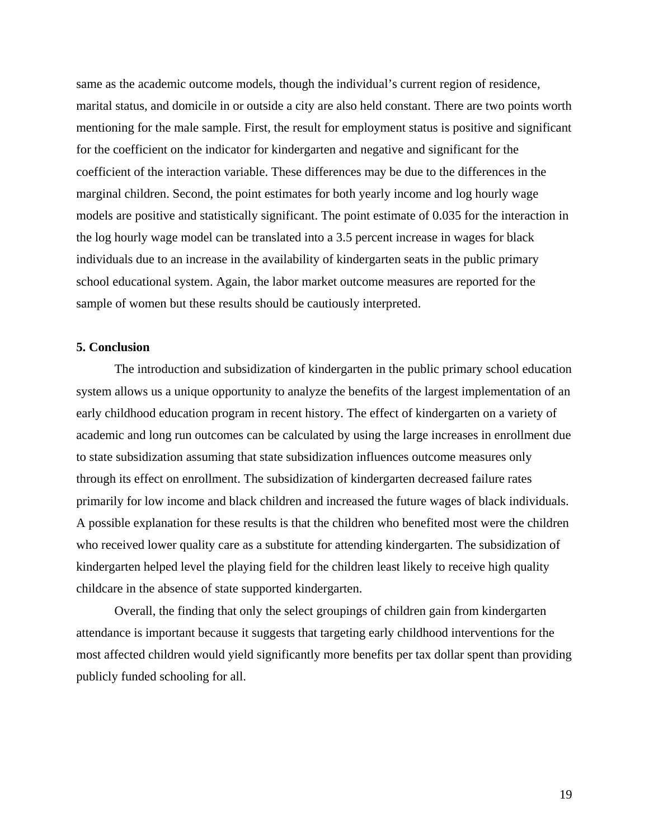same as the academic outcome models, though the individual's current region of residence, marital status, and domicile in or outside a city are also held constant. There are two points worth mentioning for the male sample. First, the result for employment status is positive and significant for the coefficient on the indicator for kindergarten and negative and significant for the coefficient of the interaction variable. These differences may be due to the differences in the marginal children. Second, the point estimates for both yearly income and log hourly wage models are positive and statistically significant. The point estimate of 0.035 for the interaction in the log hourly wage model can be translated into a 3.5 percent increase in wages for black individuals due to an increase in the availability of kindergarten seats in the public primary school educational system. Again, the labor market outcome measures are reported for the sample of women but these results should be cautiously interpreted.

#### **5. Conclusion**

 The introduction and subsidization of kindergarten in the public primary school education system allows us a unique opportunity to analyze the benefits of the largest implementation of an early childhood education program in recent history. The effect of kindergarten on a variety of academic and long run outcomes can be calculated by using the large increases in enrollment due to state subsidization assuming that state subsidization influences outcome measures only through its effect on enrollment. The subsidization of kindergarten decreased failure rates primarily for low income and black children and increased the future wages of black individuals. A possible explanation for these results is that the children who benefited most were the children who received lower quality care as a substitute for attending kindergarten. The subsidization of kindergarten helped level the playing field for the children least likely to receive high quality childcare in the absence of state supported kindergarten.

 Overall, the finding that only the select groupings of children gain from kindergarten attendance is important because it suggests that targeting early childhood interventions for the most affected children would yield significantly more benefits per tax dollar spent than providing publicly funded schooling for all.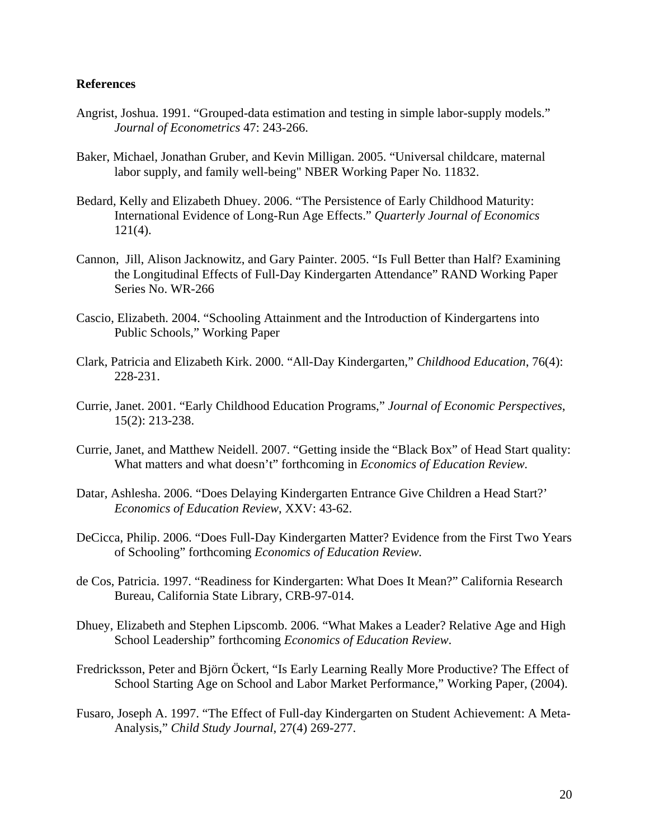### **References**

- Angrist, Joshua. 1991. "Grouped-data estimation and testing in simple labor-supply models." *Journal of Econometrics* 47: 243-266.
- Baker, Michael, Jonathan Gruber, and Kevin Milligan. 2005. "Universal childcare, maternal labor supply, and family well-being" NBER Working Paper No. 11832.
- Bedard, Kelly and Elizabeth Dhuey. 2006. "The Persistence of Early Childhood Maturity: International Evidence of Long-Run Age Effects." *Quarterly Journal of Economics*  $121(4)$ .
- Cannon, Jill, Alison Jacknowitz, and Gary Painter. 2005. "Is Full Better than Half? Examining the Longitudinal Effects of Full-Day Kindergarten Attendance" RAND Working Paper Series No. WR-266
- Cascio, Elizabeth. 2004. "Schooling Attainment and the Introduction of Kindergartens into Public Schools," Working Paper
- Clark, Patricia and Elizabeth Kirk. 2000. "All-Day Kindergarten," *Childhood Education*, 76(4): 228-231.
- Currie, Janet. 2001. "Early Childhood Education Programs," *Journal of Economic Perspectives*, 15(2): 213-238.
- Currie, Janet, and Matthew Neidell. 2007. "Getting inside the "Black Box" of Head Start quality: What matters and what doesn't" forthcoming in *Economics of Education Review.*
- Datar, Ashlesha. 2006. "Does Delaying Kindergarten Entrance Give Children a Head Start?'  *Economics of Education Review*, XXV: 43-62.
- DeCicca, Philip. 2006. "Does Full-Day Kindergarten Matter? Evidence from the First Two Years of Schooling" forthcoming *Economics of Education Review.*
- de Cos, Patricia. 1997. "Readiness for Kindergarten: What Does It Mean?" California Research Bureau, California State Library, CRB-97-014.
- Dhuey, Elizabeth and Stephen Lipscomb. 2006. "What Makes a Leader? Relative Age and High School Leadership" forthcoming *Economics of Education Review*.
- Fredricksson, Peter and Björn Öckert, "Is Early Learning Really More Productive? The Effect of School Starting Age on School and Labor Market Performance," Working Paper, (2004).
- Fusaro, Joseph A. 1997. "The Effect of Full-day Kindergarten on Student Achievement: A Meta- Analysis," *Child Study Journal*, 27(4) 269-277.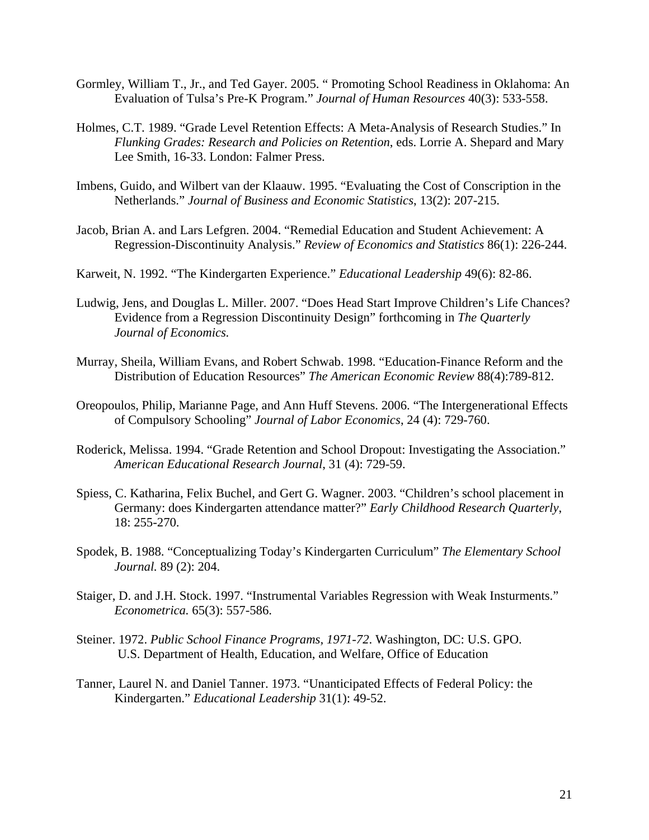- Gormley, William T., Jr., and Ted Gayer. 2005. " Promoting School Readiness in Oklahoma: An Evaluation of Tulsa's Pre-K Program." *Journal of Human Resources* 40(3): 533-558.
- Holmes, C.T. 1989. "Grade Level Retention Effects: A Meta-Analysis of Research Studies." In  *Flunking Grades: Research and Policies on Retention*, eds. Lorrie A. Shepard and Mary Lee Smith, 16-33. London: Falmer Press.
- Imbens, Guido, and Wilbert van der Klaauw. 1995. "Evaluating the Cost of Conscription in the Netherlands." *Journal of Business and Economic Statistics*, 13(2): 207-215.
- Jacob, Brian A. and Lars Lefgren. 2004. "Remedial Education and Student Achievement: A Regression-Discontinuity Analysis." *Review of Economics and Statistics* 86(1): 226-244.
- Karweit, N. 1992. "The Kindergarten Experience." *Educational Leadership* 49(6): 82-86.
- Ludwig, Jens, and Douglas L. Miller. 2007. "Does Head Start Improve Children's Life Chances? Evidence from a Regression Discontinuity Design" forthcoming in *The Quarterly Journal of Economics.*
- Murray, Sheila, William Evans, and Robert Schwab. 1998. "Education-Finance Reform and the Distribution of Education Resources" *The American Economic Review* 88(4):789-812.
- Oreopoulos, Philip, Marianne Page, and Ann Huff Stevens. 2006. "The Intergenerational Effects of Compulsory Schooling" *Journal of Labor Economics*, 24 (4): 729-760.
- Roderick, Melissa. 1994. "Grade Retention and School Dropout: Investigating the Association." *American Educational Research Journal*, 31 (4): 729-59.
- Spiess, C. Katharina, Felix Buchel, and Gert G. Wagner. 2003. "Children's school placement in Germany: does Kindergarten attendance matter?" *Early Childhood Research Quarterly*, 18: 255-270.
- Spodek, B. 1988. "Conceptualizing Today's Kindergarten Curriculum" *The Elementary School Journal.* 89 (2): 204.
- Staiger, D. and J.H. Stock. 1997. "Instrumental Variables Regression with Weak Insturments." *Econometrica.* 65(3): 557-586.
- Steiner. 1972. *Public School Finance Programs, 1971-72*. Washington, DC: U.S. GPO. U.S. Department of Health, Education, and Welfare, Office of Education
- Tanner, Laurel N. and Daniel Tanner. 1973. "Unanticipated Effects of Federal Policy: the Kindergarten." *Educational Leadership* 31(1): 49-52.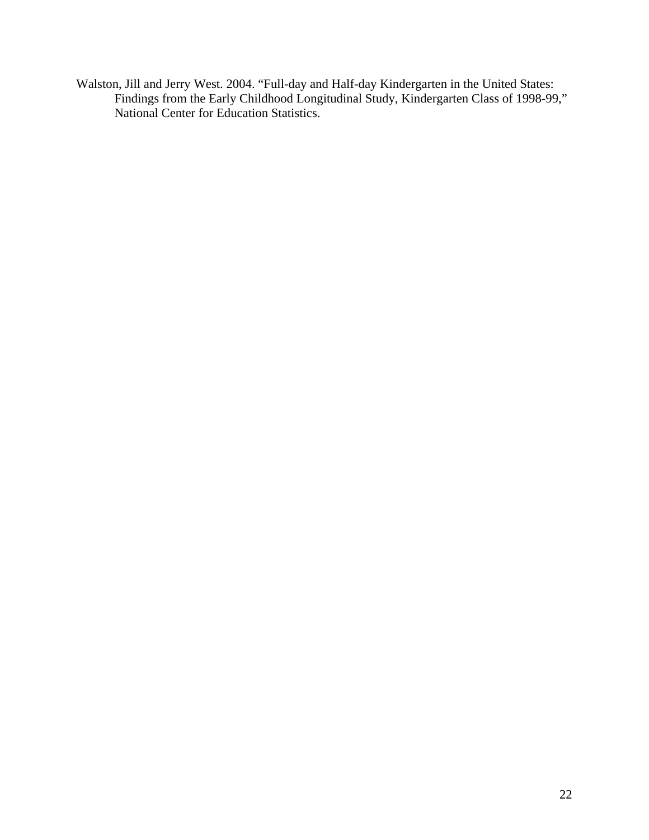Walston, Jill and Jerry West. 2004. "Full-day and Half-day Kindergarten in the United States: Findings from the Early Childhood Longitudinal Study, Kindergarten Class of 1998-99," National Center for Education Statistics.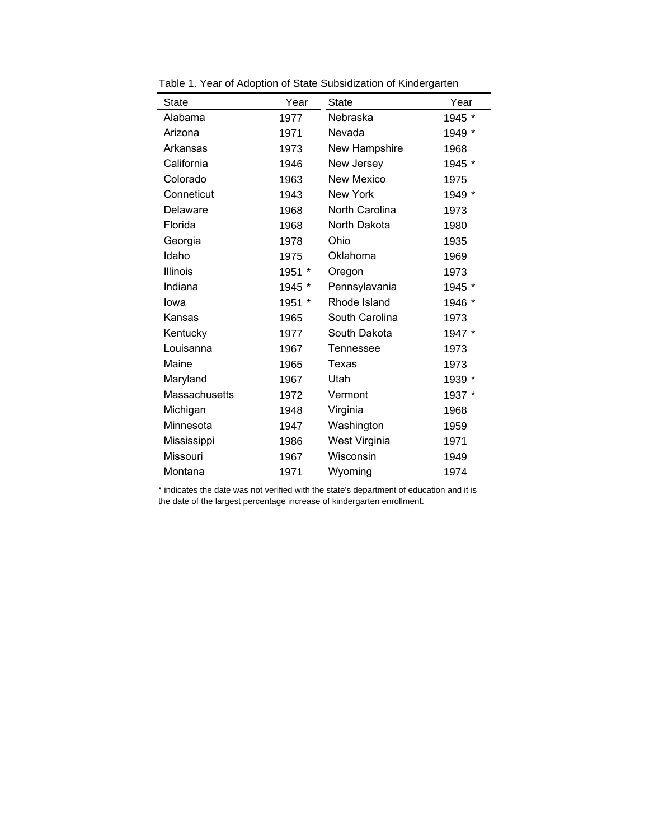| <b>State</b>  | Year   | <b>State</b>      | Year   |
|---------------|--------|-------------------|--------|
| Alabama       | 1977   | Nebraska          | 1945 * |
| Arizona       | 1971   | Nevada            | 1949 * |
| Arkansas      | 1973   | New Hampshire     | 1968   |
| California    | 1946   | New Jersey        | 1945 * |
| Colorado      | 1963   | <b>New Mexico</b> | 1975   |
| Conneticut    | 1943   | <b>New York</b>   | 1949 * |
| Delaware      | 1968   | North Carolina    | 1973   |
| Florida       | 1968   | North Dakota      | 1980   |
| Georgia       | 1978   | Ohio              | 1935   |
| Idaho         | 1975   | Oklahoma          | 1969   |
| Illinois      | 1951 * | Oregon            | 1973   |
| Indiana       | 1945 * | Pennsylavania     | 1945 * |
| lowa          | 1951 * | Rhode Island      | 1946 * |
| Kansas        | 1965   | South Carolina    | 1973   |
| Kentucky      | 1977   | South Dakota      | 1947 * |
| Louisanna     | 1967   | Tennessee         | 1973   |
| Maine         | 1965   | Texas             | 1973   |
| Maryland      | 1967   | Utah              | 1939 * |
| Massachusetts | 1972   | Vermont           | 1937 * |
| Michigan      | 1948   | Virginia          | 1968   |
| Minnesota     | 1947   | Washington        | 1959   |
| Mississippi   | 1986   | West Virginia     | 1971   |
| Missouri      | 1967   | Wisconsin         | 1949   |
| Montana       | 1971   | Wyoming           | 1974   |

Table 1. Year of Adoption of State Subsidization of Kindergarten

\* indicates the date was not verified with the state's department of education and it is the date of the largest percentage increase of kindergarten enrollment.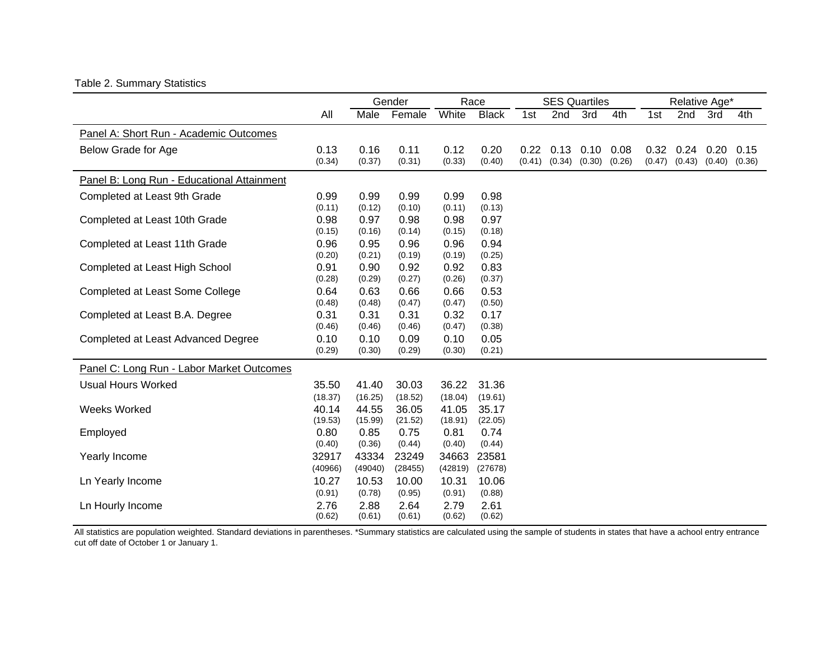## Table 2. Summary Statistics

|                                            |         |         | Gender  |         | Race         |        | <b>SES Quartiles</b> |        |        |        | Relative Age* |        |        |
|--------------------------------------------|---------|---------|---------|---------|--------------|--------|----------------------|--------|--------|--------|---------------|--------|--------|
|                                            | All     | Male    | Female  | White   | <b>Black</b> | 1st    | 2nd                  | 3rd    | 4th    | 1st    | 2nd           | 3rd    | 4th    |
| Panel A: Short Run - Academic Outcomes     |         |         |         |         |              |        |                      |        |        |        |               |        |        |
| Below Grade for Age                        | 0.13    | 0.16    | 0.11    | 0.12    | 0.20         | 0.22   | 0.13                 | 0.10   | 0.08   | 0.32   | 0.24          | 0.20   | 0.15   |
|                                            | (0.34)  | (0.37)  | (0.31)  | (0.33)  | (0.40)       | (0.41) | (0.34)               | (0.30) | (0.26) | (0.47) | (0.43)        | (0.40) | (0.36) |
| Panel B: Long Run - Educational Attainment |         |         |         |         |              |        |                      |        |        |        |               |        |        |
| Completed at Least 9th Grade               | 0.99    | 0.99    | 0.99    | 0.99    | 0.98         |        |                      |        |        |        |               |        |        |
|                                            | (0.11)  | (0.12)  | (0.10)  | (0.11)  | (0.13)       |        |                      |        |        |        |               |        |        |
| Completed at Least 10th Grade              | 0.98    | 0.97    | 0.98    | 0.98    | 0.97         |        |                      |        |        |        |               |        |        |
|                                            | (0.15)  | (0.16)  | (0.14)  | (0.15)  | (0.18)       |        |                      |        |        |        |               |        |        |
| Completed at Least 11th Grade              | 0.96    | 0.95    | 0.96    | 0.96    | 0.94         |        |                      |        |        |        |               |        |        |
|                                            | (0.20)  | (0.21)  | (0.19)  | (0.19)  | (0.25)       |        |                      |        |        |        |               |        |        |
| Completed at Least High School             | 0.91    | 0.90    | 0.92    | 0.92    | 0.83         |        |                      |        |        |        |               |        |        |
|                                            | (0.28)  | (0.29)  | (0.27)  | (0.26)  | (0.37)       |        |                      |        |        |        |               |        |        |
| Completed at Least Some College            | 0.64    | 0.63    | 0.66    | 0.66    | 0.53         |        |                      |        |        |        |               |        |        |
|                                            | (0.48)  | (0.48)  | (0.47)  | (0.47)  | (0.50)       |        |                      |        |        |        |               |        |        |
| Completed at Least B.A. Degree             | 0.31    | 0.31    | 0.31    | 0.32    | 0.17         |        |                      |        |        |        |               |        |        |
|                                            | (0.46)  | (0.46)  | (0.46)  | (0.47)  | (0.38)       |        |                      |        |        |        |               |        |        |
| Completed at Least Advanced Degree         | 0.10    | 0.10    | 0.09    | 0.10    | 0.05         |        |                      |        |        |        |               |        |        |
|                                            | (0.29)  | (0.30)  | (0.29)  | (0.30)  | (0.21)       |        |                      |        |        |        |               |        |        |
| Panel C: Long Run - Labor Market Outcomes  |         |         |         |         |              |        |                      |        |        |        |               |        |        |
| <b>Usual Hours Worked</b>                  | 35.50   | 41.40   | 30.03   | 36.22   | 31.36        |        |                      |        |        |        |               |        |        |
|                                            | (18.37) | (16.25) | (18.52) | (18.04) | (19.61)      |        |                      |        |        |        |               |        |        |
| <b>Weeks Worked</b>                        | 40.14   | 44.55   | 36.05   | 41.05   | 35.17        |        |                      |        |        |        |               |        |        |
|                                            | (19.53) | (15.99) | (21.52) | (18.91) | (22.05)      |        |                      |        |        |        |               |        |        |
| Employed                                   | 0.80    | 0.85    | 0.75    | 0.81    | 0.74         |        |                      |        |        |        |               |        |        |
|                                            | (0.40)  | (0.36)  | (0.44)  | (0.40)  | (0.44)       |        |                      |        |        |        |               |        |        |
| Yearly Income                              | 32917   | 43334   | 23249   | 34663   | 23581        |        |                      |        |        |        |               |        |        |
|                                            | (40966) | (49040) | (28455) | (42819) | (27678)      |        |                      |        |        |        |               |        |        |
| Ln Yearly Income                           | 10.27   | 10.53   | 10.00   | 10.31   | 10.06        |        |                      |        |        |        |               |        |        |
|                                            | (0.91)  | (0.78)  | (0.95)  | (0.91)  | (0.88)       |        |                      |        |        |        |               |        |        |
| Ln Hourly Income                           | 2.76    | 2.88    | 2.64    | 2.79    | 2.61         |        |                      |        |        |        |               |        |        |
|                                            | (0.62)  | (0.61)  | (0.61)  | (0.62)  | (0.62)       |        |                      |        |        |        |               |        |        |

All statistics are population weighted. Standard deviations in parentheses. \*Summary statistics are calculated using the sample of students in states that have a achool entry entrance cut off date of October 1 or January 1.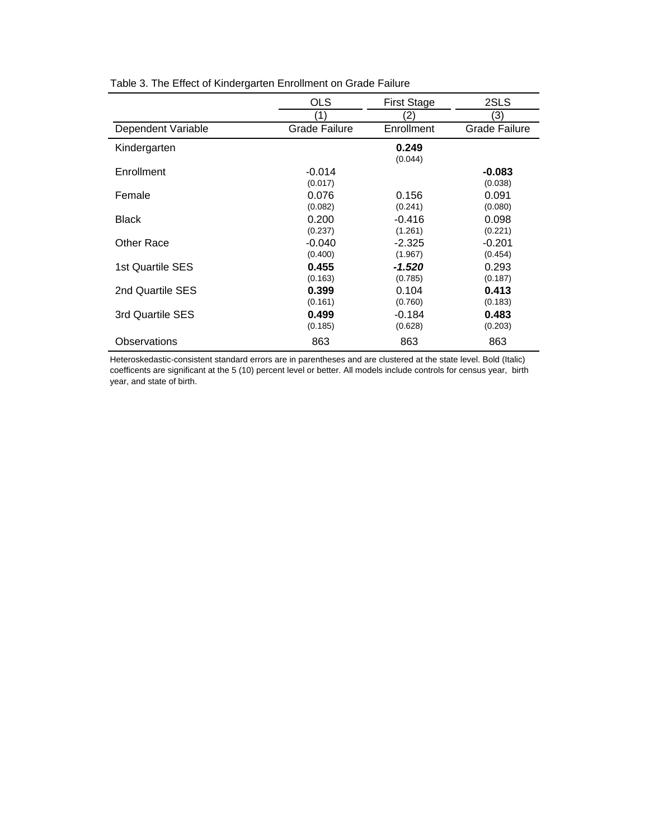|                    | <b>OLS</b>    | <b>First Stage</b> | 2SLS                 |
|--------------------|---------------|--------------------|----------------------|
|                    | (1)           | (2)                | (3)                  |
| Dependent Variable | Grade Failure | Enrollment         | <b>Grade Failure</b> |
| Kindergarten       |               | 0.249              |                      |
|                    |               | (0.044)            |                      |
| Enrollment         | $-0.014$      |                    | $-0.083$             |
|                    | (0.017)       |                    | (0.038)              |
| Female             | 0.076         | 0.156              | 0.091                |
|                    | (0.082)       | (0.241)            | (0.080)              |
| <b>Black</b>       | 0.200         | $-0.416$           | 0.098                |
|                    | (0.237)       | (1.261)            | (0.221)              |
| Other Race         | $-0.040$      | $-2.325$           | $-0.201$             |
|                    | (0.400)       | (1.967)            | (0.454)              |
| 1st Quartile SES   | 0.455         | -1.520             | 0.293                |
|                    | (0.163)       | (0.785)            | (0.187)              |
| 2nd Quartile SES   | 0.399         | 0.104              | 0.413                |
|                    | (0.161)       | (0.760)            | (0.183)              |
| 3rd Quartile SES   | 0.499         | $-0.184$           | 0.483                |
|                    | (0.185)       | (0.628)            | (0.203)              |
| Observations       | 863           | 863                | 863                  |

Table 3. The Effect of Kindergarten Enrollment on Grade Failure

Heteroskedastic-consistent standard errors are in parentheses and are clustered at the state level. Bold (Italic) coefficents are significant at the 5 (10) percent level or better. All models include controls for census year, birth year, and state of birth.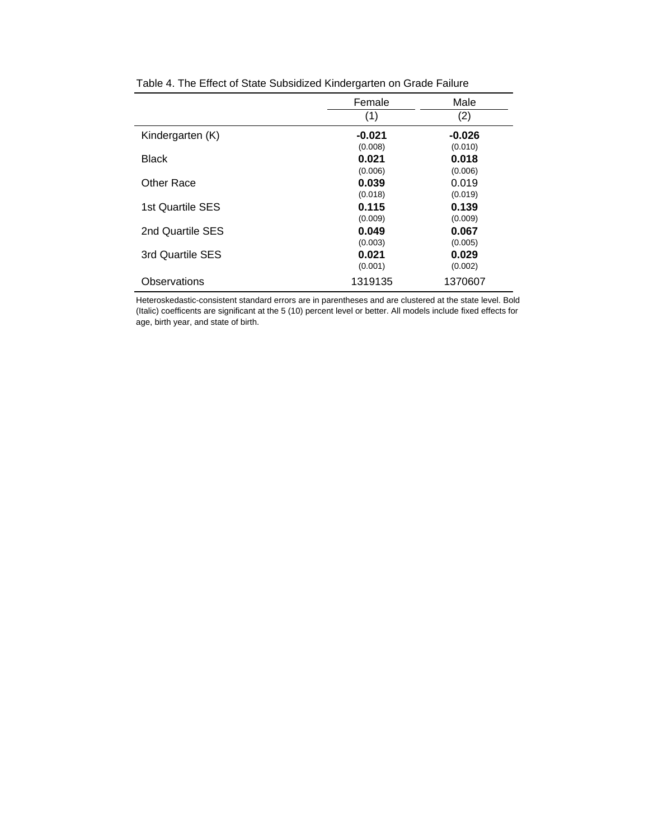|                  | Female            | Male              |
|------------------|-------------------|-------------------|
|                  | (1)               | (2)               |
| Kindergarten (K) | -0.021<br>(0.008) | -0.026<br>(0.010) |
| <b>Black</b>     | 0.021<br>(0.006)  | 0.018<br>(0.006)  |
| Other Race       | 0.039<br>(0.018)  | 0.019<br>(0.019)  |
| 1st Quartile SES | 0.115<br>(0.009)  | 0.139<br>(0.009)  |
| 2nd Quartile SES | 0.049<br>(0.003)  | 0.067<br>(0.005)  |
| 3rd Quartile SES | 0.021<br>(0.001)  | 0.029<br>(0.002)  |
| Observations     | 1319135           | 1370607           |

|--|

Heteroskedastic-consistent standard errors are in parentheses and are clustered at the state level. Bold (Italic) coefficents are significant at the 5 (10) percent level or better. All models include fixed effects for age, birth year, and state of birth.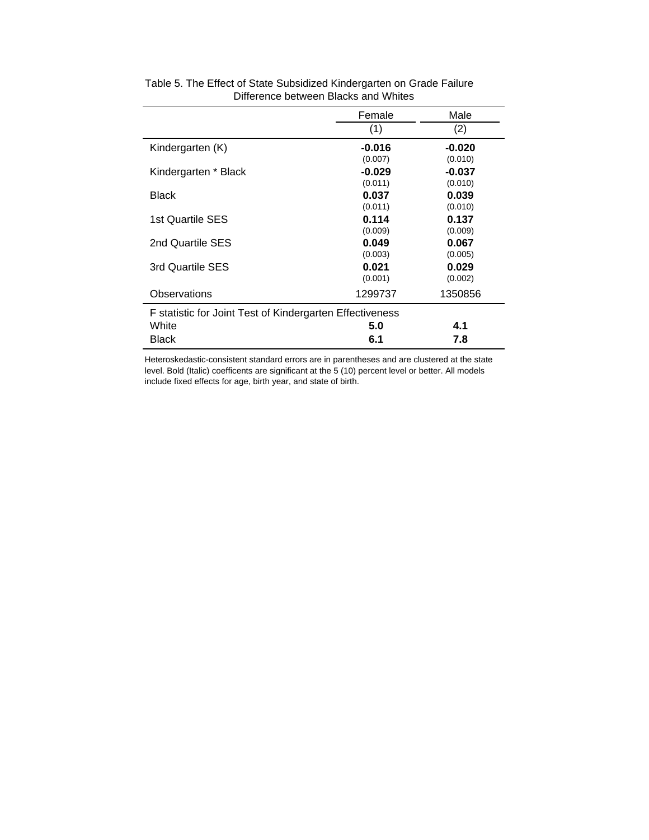|                                                          | Female   | Male     |  |  |  |
|----------------------------------------------------------|----------|----------|--|--|--|
|                                                          | (1)      | (2)      |  |  |  |
| Kindergarten (K)                                         | $-0.016$ | $-0.020$ |  |  |  |
|                                                          | (0.007)  | (0.010)  |  |  |  |
| Kindergarten * Black                                     | $-0.029$ | $-0.037$ |  |  |  |
|                                                          | (0.011)  | (0.010)  |  |  |  |
| <b>Black</b>                                             | 0.037    | 0.039    |  |  |  |
|                                                          | (0.011)  | (0.010)  |  |  |  |
| 1st Quartile SES                                         | 0.114    | 0.137    |  |  |  |
|                                                          | (0.009)  | (0.009)  |  |  |  |
| 2nd Quartile SES                                         | 0.049    | 0.067    |  |  |  |
|                                                          | (0.003)  | (0.005)  |  |  |  |
| 3rd Quartile SES                                         | 0.021    | 0.029    |  |  |  |
|                                                          | (0.001)  | (0.002)  |  |  |  |
| Observations                                             | 1299737  | 1350856  |  |  |  |
| F statistic for Joint Test of Kindergarten Effectiveness |          |          |  |  |  |
| White                                                    | 5.0      | 4.1      |  |  |  |
| Black                                                    | 6.1      | 7.8      |  |  |  |
|                                                          |          |          |  |  |  |

### Difference between Blacks and Whites Table 5. The Effect of State Subsidized Kindergarten on Grade Failure

Heteroskedastic-consistent standard errors are in parentheses and are clustered at the state level. Bold (Italic) coefficents are significant at the 5 (10) percent level or better. All models include fixed effects for age, birth year, and state of birth.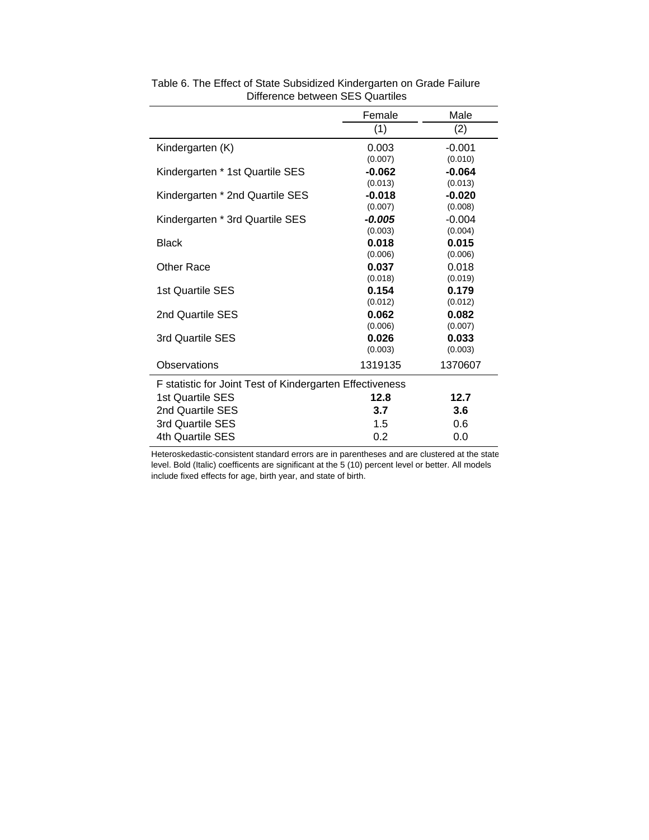|                                                          | Female   | Male     |
|----------------------------------------------------------|----------|----------|
|                                                          | (1)      | (2)      |
| Kindergarten (K)                                         | 0.003    | $-0.001$ |
|                                                          | (0.007)  | (0.010)  |
| Kindergarten * 1st Quartile SES                          | $-0.062$ | $-0.064$ |
|                                                          | (0.013)  | (0.013)  |
| Kindergarten * 2nd Quartile SES                          | $-0.018$ | $-0.020$ |
|                                                          | (0.007)  | (0.008)  |
| Kindergarten * 3rd Quartile SES                          | $-0.005$ | $-0.004$ |
|                                                          | (0.003)  | (0.004)  |
| <b>Black</b>                                             | 0.018    | 0.015    |
|                                                          | (0.006)  | (0.006)  |
| Other Race                                               | 0.037    | 0.018    |
|                                                          | (0.018)  | (0.019)  |
| 1st Quartile SES                                         | 0.154    | 0.179    |
|                                                          | (0.012)  | (0.012)  |
| 2nd Quartile SES                                         | 0.062    | 0.082    |
|                                                          | (0.006)  | (0.007)  |
| 3rd Quartile SES                                         | 0.026    | 0.033    |
|                                                          | (0.003)  | (0.003)  |
| Observations                                             | 1319135  | 1370607  |
| F statistic for Joint Test of Kindergarten Effectiveness |          |          |
| 1st Quartile SES                                         | 12.8     | 12.7     |
| 2nd Quartile SES                                         | 3.7      | 3.6      |
| 3rd Quartile SES                                         | 1.5      | 0.6      |
| 4th Quartile SES                                         | 0.2      | 0.0      |
|                                                          |          |          |

Table 6. The Effect of State Subsidized Kindergarten on Grade Failure Difference between SES Quartiles

Heteroskedastic-consistent standard errors are in parentheses and are clustered at the state level. Bold (Italic) coefficents are significant at the 5 (10) percent level or better. All models include fixed effects for age, birth year, and state of birth.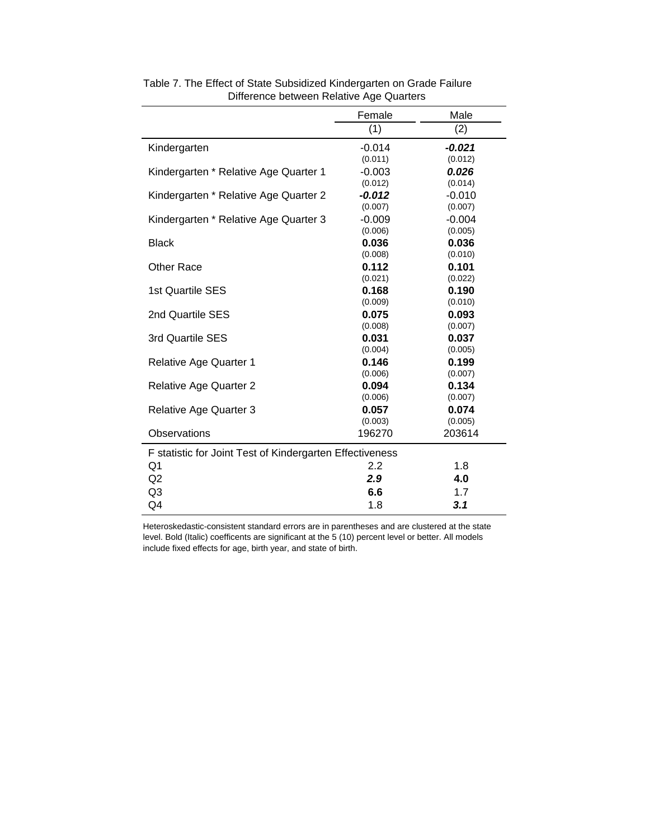| (1)<br>(2)<br>Kindergarten<br>$-0.014$<br>$-0.021$<br>(0.011)<br>(0.012)<br>$-0.003$<br>0.026<br>Kindergarten * Relative Age Quarter 1<br>(0.012)<br>(0.014)<br>Kindergarten * Relative Age Quarter 2<br>$-0.012$<br>$-0.010$<br>(0.007)<br>(0.007)<br>Kindergarten * Relative Age Quarter 3<br>$-0.009$<br>$-0.004$<br>(0.006)<br>(0.005)<br>0.036<br><b>Black</b><br>0.036<br>(0.008)<br>(0.010)<br><b>Other Race</b><br>0.112<br>0.101<br>(0.021)<br>(0.022)<br>1st Quartile SES<br>0.168<br>0.190<br>(0.009)<br>(0.010)<br>2nd Quartile SES<br>0.075<br>0.093<br>(0.008)<br>(0.007)<br>3rd Quartile SES<br>0.031<br>0.037<br>(0.004)<br>(0.005)<br>Relative Age Quarter 1<br>0.146<br>0.199<br>(0.006)<br>(0.007)<br>0.094<br>0.134<br><b>Relative Age Quarter 2</b><br>(0.006)<br>(0.007)<br>0.057<br>0.074<br><b>Relative Age Quarter 3</b><br>(0.003)<br>(0.005)<br>Observations<br>203614<br>196270<br>F statistic for Joint Test of Kindergarten Effectiveness<br>2.2<br>1.8<br>Q1<br>Q2<br>2.9<br>4.0<br>Q3<br>6.6<br>1.7 |    | Female | Male |
|-------------------------------------------------------------------------------------------------------------------------------------------------------------------------------------------------------------------------------------------------------------------------------------------------------------------------------------------------------------------------------------------------------------------------------------------------------------------------------------------------------------------------------------------------------------------------------------------------------------------------------------------------------------------------------------------------------------------------------------------------------------------------------------------------------------------------------------------------------------------------------------------------------------------------------------------------------------------------------------------------------------------------------------|----|--------|------|
|                                                                                                                                                                                                                                                                                                                                                                                                                                                                                                                                                                                                                                                                                                                                                                                                                                                                                                                                                                                                                                     |    |        |      |
|                                                                                                                                                                                                                                                                                                                                                                                                                                                                                                                                                                                                                                                                                                                                                                                                                                                                                                                                                                                                                                     |    |        |      |
|                                                                                                                                                                                                                                                                                                                                                                                                                                                                                                                                                                                                                                                                                                                                                                                                                                                                                                                                                                                                                                     |    |        |      |
|                                                                                                                                                                                                                                                                                                                                                                                                                                                                                                                                                                                                                                                                                                                                                                                                                                                                                                                                                                                                                                     |    |        |      |
|                                                                                                                                                                                                                                                                                                                                                                                                                                                                                                                                                                                                                                                                                                                                                                                                                                                                                                                                                                                                                                     |    |        |      |
|                                                                                                                                                                                                                                                                                                                                                                                                                                                                                                                                                                                                                                                                                                                                                                                                                                                                                                                                                                                                                                     |    |        |      |
|                                                                                                                                                                                                                                                                                                                                                                                                                                                                                                                                                                                                                                                                                                                                                                                                                                                                                                                                                                                                                                     |    |        |      |
|                                                                                                                                                                                                                                                                                                                                                                                                                                                                                                                                                                                                                                                                                                                                                                                                                                                                                                                                                                                                                                     |    |        |      |
|                                                                                                                                                                                                                                                                                                                                                                                                                                                                                                                                                                                                                                                                                                                                                                                                                                                                                                                                                                                                                                     |    |        |      |
|                                                                                                                                                                                                                                                                                                                                                                                                                                                                                                                                                                                                                                                                                                                                                                                                                                                                                                                                                                                                                                     |    |        |      |
|                                                                                                                                                                                                                                                                                                                                                                                                                                                                                                                                                                                                                                                                                                                                                                                                                                                                                                                                                                                                                                     |    |        |      |
|                                                                                                                                                                                                                                                                                                                                                                                                                                                                                                                                                                                                                                                                                                                                                                                                                                                                                                                                                                                                                                     |    |        |      |
|                                                                                                                                                                                                                                                                                                                                                                                                                                                                                                                                                                                                                                                                                                                                                                                                                                                                                                                                                                                                                                     |    |        |      |
|                                                                                                                                                                                                                                                                                                                                                                                                                                                                                                                                                                                                                                                                                                                                                                                                                                                                                                                                                                                                                                     |    |        |      |
|                                                                                                                                                                                                                                                                                                                                                                                                                                                                                                                                                                                                                                                                                                                                                                                                                                                                                                                                                                                                                                     |    |        |      |
|                                                                                                                                                                                                                                                                                                                                                                                                                                                                                                                                                                                                                                                                                                                                                                                                                                                                                                                                                                                                                                     |    |        |      |
|                                                                                                                                                                                                                                                                                                                                                                                                                                                                                                                                                                                                                                                                                                                                                                                                                                                                                                                                                                                                                                     |    |        |      |
|                                                                                                                                                                                                                                                                                                                                                                                                                                                                                                                                                                                                                                                                                                                                                                                                                                                                                                                                                                                                                                     |    |        |      |
|                                                                                                                                                                                                                                                                                                                                                                                                                                                                                                                                                                                                                                                                                                                                                                                                                                                                                                                                                                                                                                     |    |        |      |
|                                                                                                                                                                                                                                                                                                                                                                                                                                                                                                                                                                                                                                                                                                                                                                                                                                                                                                                                                                                                                                     |    |        |      |
|                                                                                                                                                                                                                                                                                                                                                                                                                                                                                                                                                                                                                                                                                                                                                                                                                                                                                                                                                                                                                                     |    |        |      |
|                                                                                                                                                                                                                                                                                                                                                                                                                                                                                                                                                                                                                                                                                                                                                                                                                                                                                                                                                                                                                                     |    |        |      |
|                                                                                                                                                                                                                                                                                                                                                                                                                                                                                                                                                                                                                                                                                                                                                                                                                                                                                                                                                                                                                                     |    |        |      |
|                                                                                                                                                                                                                                                                                                                                                                                                                                                                                                                                                                                                                                                                                                                                                                                                                                                                                                                                                                                                                                     |    |        |      |
|                                                                                                                                                                                                                                                                                                                                                                                                                                                                                                                                                                                                                                                                                                                                                                                                                                                                                                                                                                                                                                     |    |        |      |
|                                                                                                                                                                                                                                                                                                                                                                                                                                                                                                                                                                                                                                                                                                                                                                                                                                                                                                                                                                                                                                     |    |        |      |
|                                                                                                                                                                                                                                                                                                                                                                                                                                                                                                                                                                                                                                                                                                                                                                                                                                                                                                                                                                                                                                     |    |        |      |
|                                                                                                                                                                                                                                                                                                                                                                                                                                                                                                                                                                                                                                                                                                                                                                                                                                                                                                                                                                                                                                     |    |        |      |
|                                                                                                                                                                                                                                                                                                                                                                                                                                                                                                                                                                                                                                                                                                                                                                                                                                                                                                                                                                                                                                     |    |        |      |
|                                                                                                                                                                                                                                                                                                                                                                                                                                                                                                                                                                                                                                                                                                                                                                                                                                                                                                                                                                                                                                     |    |        |      |
|                                                                                                                                                                                                                                                                                                                                                                                                                                                                                                                                                                                                                                                                                                                                                                                                                                                                                                                                                                                                                                     | Q4 | 1.8    | 3.1  |

Table 7. The Effect of State Subsidized Kindergarten on Grade Failure Difference between Relative Age Quarters

Heteroskedastic-consistent standard errors are in parentheses and are clustered at the state level. Bold (Italic) coefficents are significant at the 5 (10) percent level or better. All models include fixed effects for age, birth year, and state of birth.

l.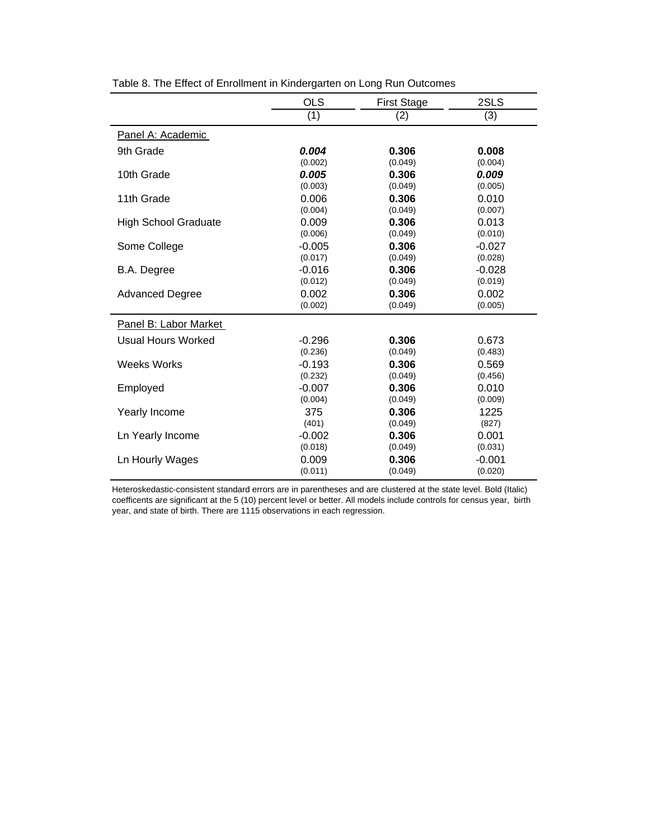|                             | <b>OLS</b> | <b>First Stage</b> | 2SLS     |
|-----------------------------|------------|--------------------|----------|
|                             | (1)        | (2)                | (3)      |
| Panel A: Academic           |            |                    |          |
| 9th Grade                   | 0.004      | 0.306              | 0.008    |
|                             | (0.002)    | (0.049)            | (0.004)  |
| 10th Grade                  | 0.005      | 0.306              | 0.009    |
|                             | (0.003)    | (0.049)            | (0.005)  |
| 11th Grade                  | 0.006      | 0.306              | 0.010    |
|                             | (0.004)    | (0.049)            | (0.007)  |
| <b>High School Graduate</b> | 0.009      | 0.306              | 0.013    |
|                             | (0.006)    | (0.049)            | (0.010)  |
| Some College                | $-0.005$   | 0.306              | $-0.027$ |
|                             | (0.017)    | (0.049)            | (0.028)  |
| B.A. Degree                 | $-0.016$   | 0.306              | $-0.028$ |
|                             | (0.012)    | (0.049)            | (0.019)  |
| <b>Advanced Degree</b>      | 0.002      | 0.306              | 0.002    |
|                             | (0.002)    | (0.049)            | (0.005)  |
| Panel B: Labor Market       |            |                    |          |
| Usual Hours Worked          | $-0.296$   | 0.306              | 0.673    |
|                             | (0.236)    | (0.049)            | (0.483)  |
| <b>Weeks Works</b>          | $-0.193$   | 0.306              | 0.569    |
|                             | (0.232)    | (0.049)            | (0.456)  |
| Employed                    | $-0.007$   | 0.306              | 0.010    |
|                             | (0.004)    | (0.049)            | (0.009)  |
| Yearly Income               | 375        | 0.306              | 1225     |
|                             | (401)      | (0.049)            | (827)    |
| Ln Yearly Income            | $-0.002$   | 0.306              | 0.001    |
|                             | (0.018)    | (0.049)            | (0.031)  |
| Ln Hourly Wages             | 0.009      | 0.306              | $-0.001$ |
|                             | (0.011)    | (0.049)            | (0.020)  |

Table 8. The Effect of Enrollment in Kindergarten on Long Run Outcomes

Heteroskedastic-consistent standard errors are in parentheses and are clustered at the state level. Bold (Italic) coefficents are significant at the 5 (10) percent level or better. All models include controls for census year, birth year, and state of birth. There are 1115 observations in each regression.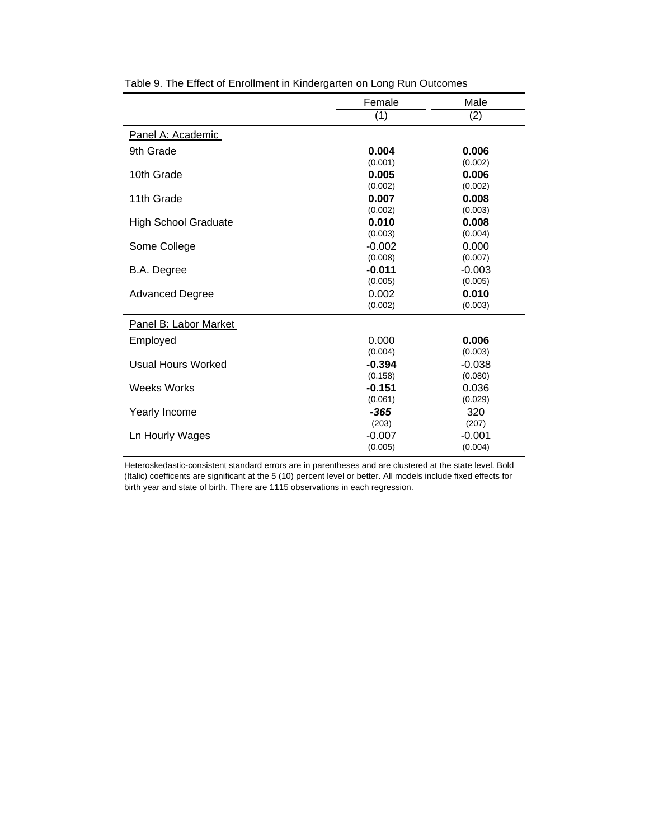|                             | Female   | Male     |
|-----------------------------|----------|----------|
|                             | (1)      | (2)      |
| Panel A: Academic           |          |          |
| 9th Grade                   | 0.004    | 0.006    |
|                             | (0.001)  | (0.002)  |
| 10th Grade                  | 0.005    | 0.006    |
|                             | (0.002)  | (0.002)  |
| 11th Grade                  | 0.007    | 0.008    |
|                             | (0.002)  | (0.003)  |
| <b>High School Graduate</b> | 0.010    | 0.008    |
|                             | (0.003)  | (0.004)  |
| Some College                | $-0.002$ | 0.000    |
|                             | (0.008)  | (0.007)  |
| B.A. Degree                 | $-0.011$ | $-0.003$ |
|                             | (0.005)  | (0.005)  |
| <b>Advanced Degree</b>      | 0.002    | 0.010    |
|                             | (0.002)  | (0.003)  |
| Panel B: Labor Market       |          |          |
| Employed                    | 0.000    | 0.006    |
|                             | (0.004)  | (0.003)  |
| Usual Hours Worked          | $-0.394$ | $-0.038$ |
|                             | (0.158)  | (0.080)  |
| Weeks Works                 | $-0.151$ | 0.036    |
|                             | (0.061)  | (0.029)  |
| Yearly Income               | -365     | 320      |
|                             | (203)    | (207)    |
| Ln Hourly Wages             | $-0.007$ | $-0.001$ |
|                             | (0.005)  | (0.004)  |

Table 9. The Effect of Enrollment in Kindergarten on Long Run Outcomes

Heteroskedastic-consistent standard errors are in parentheses and are clustered at the state level. Bold (Italic) coefficents are significant at the 5 (10) percent level or better. All models include fixed effects for birth year and state of birth. There are 1115 observations in each regression.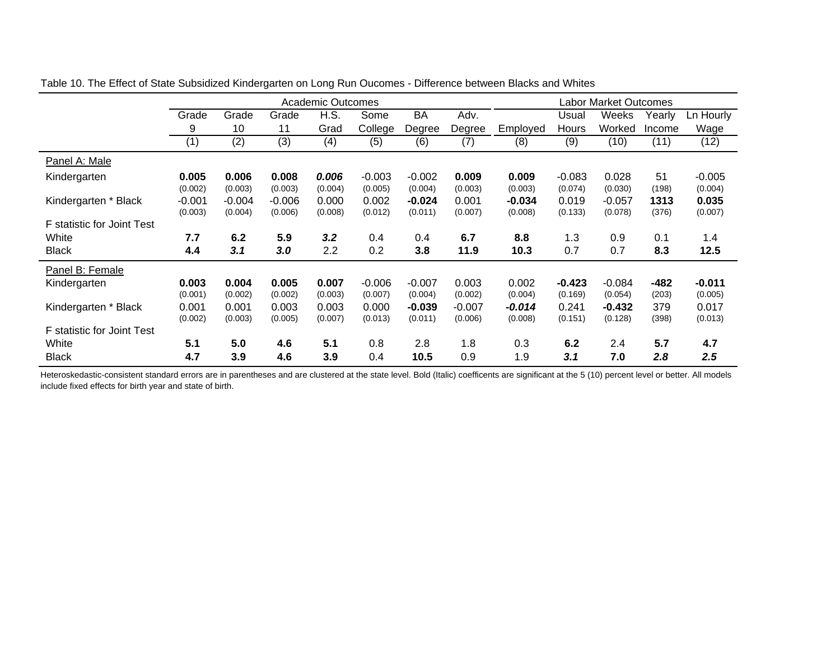|                            |          |          |          | Academic Outcomes |          |           |          |          |          | Labor Market Outcomes |        |           |
|----------------------------|----------|----------|----------|-------------------|----------|-----------|----------|----------|----------|-----------------------|--------|-----------|
|                            | Grade    | Grade    | Grade    | H.S.              | Some     | <b>BA</b> | Adv.     |          | Usual    | Weeks                 | Yearly | Ln Hourly |
|                            | 9        | 10       | 11       | Grad              | College  | Degree    | Degree   | Employed | Hours    | Worked                | Income | Wage      |
|                            | (1)      | (2)      | (3)      | (4)               | (5)      | (6)       | (7)      | (8)      | (9)      | (10)                  | (11)   | (12)      |
| Panel A: Male              |          |          |          |                   |          |           |          |          |          |                       |        |           |
| Kindergarten               | 0.005    | 0.006    | 0.008    | 0.006             | $-0.003$ | $-0.002$  | 0.009    | 0.009    | $-0.083$ | 0.028                 | 51     | $-0.005$  |
|                            | (0.002)  | (0.003)  | (0.003)  | (0.004)           | (0.005)  | (0.004)   | (0.003)  | (0.003)  | (0.074)  | (0.030)               | (198)  | (0.004)   |
| Kindergarten * Black       | $-0.001$ | $-0.004$ | $-0.006$ | 0.000             | 0.002    | $-0.024$  | 0.001    | $-0.034$ | 0.019    | $-0.057$              | 1313   | 0.035     |
|                            | (0.003)  | (0.004)  | (0.006)  | (0.008)           | (0.012)  | (0.011)   | (0.007)  | (0.008)  | (0.133)  | (0.078)               | (376)  | (0.007)   |
| F statistic for Joint Test |          |          |          |                   |          |           |          |          |          |                       |        |           |
| White                      | 7.7      | 6.2      | 5.9      | 3.2               | 0.4      | 0.4       | 6.7      | 8.8      | 1.3      | 0.9                   | 0.1    | 1.4       |
| <b>Black</b>               | 4.4      | 3.1      | 3.0      | 2.2               | 0.2      | 3.8       | 11.9     | 10.3     | 0.7      | 0.7                   | 8.3    | 12.5      |
| Panel B: Female            |          |          |          |                   |          |           |          |          |          |                       |        |           |
| Kindergarten               | 0.003    | 0.004    | 0.005    | 0.007             | $-0.006$ | $-0.007$  | 0.003    | 0.002    | $-0.423$ | $-0.084$              | $-482$ | $-0.011$  |
|                            | (0.001)  | (0.002)  | (0.002)  | (0.003)           | (0.007)  | (0.004)   | (0.002)  | (0.004)  | (0.169)  | (0.054)               | (203)  | (0.005)   |
| Kindergarten * Black       | 0.001    | 0.001    | 0.003    | 0.003             | 0.000    | $-0.039$  | $-0.007$ | $-0.014$ | 0.241    | $-0.432$              | 379    | 0.017     |
|                            | (0.002)  | (0.003)  | (0.005)  | (0.007)           | (0.013)  | (0.011)   | (0.006)  | (0.008)  | (0.151)  | (0.128)               | (398)  | (0.013)   |
| F statistic for Joint Test |          |          |          |                   |          |           |          |          |          |                       |        |           |
| White                      | 5.1      | 5.0      | 4.6      | 5.1               | 0.8      | 2.8       | 1.8      | 0.3      | 6.2      | 2.4                   | 5.7    | 4.7       |
| <b>Black</b>               | 4.7      | 3.9      | 4.6      | 3.9               | 0.4      | 10.5      | 0.9      | 1.9      | 3.1      | 7.0                   | 2.8    | 2.5       |

Table 10. The Effect of State Subsidized Kindergarten on Long Run Oucomes - Difference between Blacks and Whites

Heteroskedastic-consistent standard errors are in parentheses and are clustered at the state level. Bold (Italic) coefficents are significant at the 5 (10) percent level or better. All models include fixed effects for birth year and state of birth.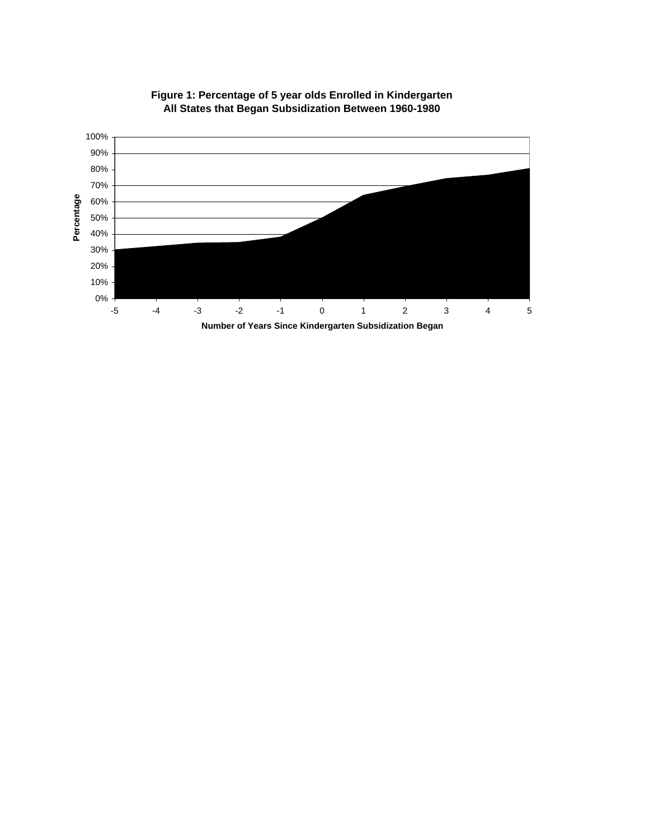

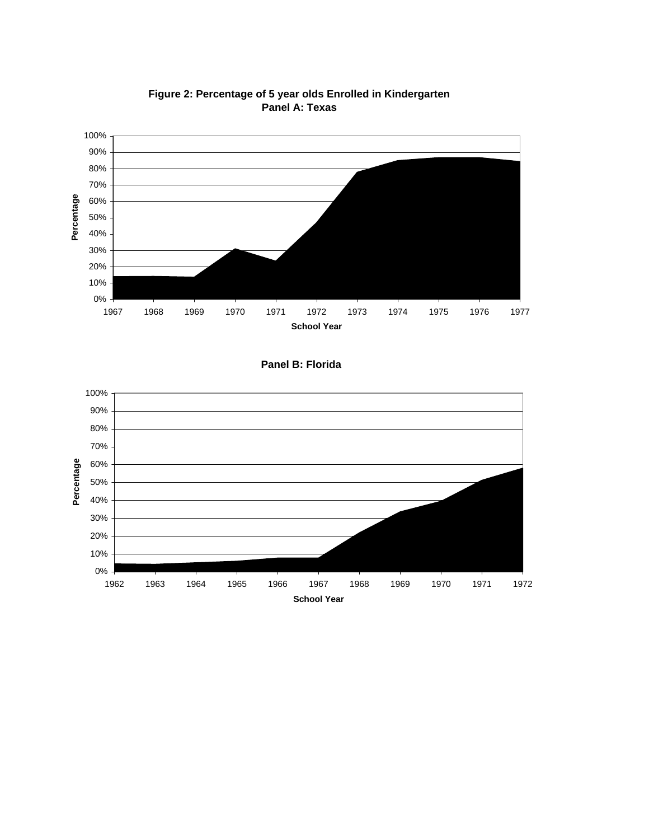

**Figure 2: Percentage of 5 year olds Enrolled in Kindergarten Panel A: Texas**



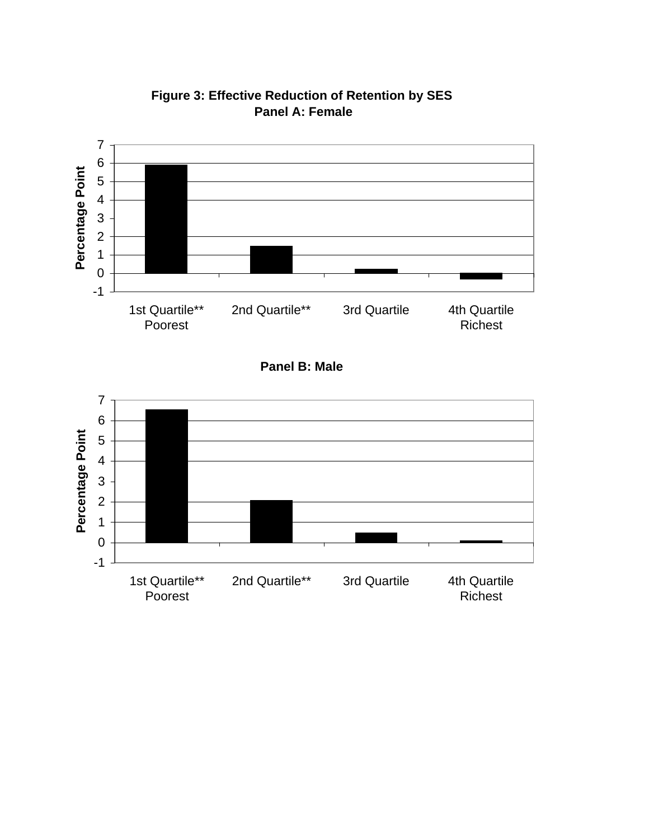

**Figure 3: Effective Reduction of Retention by SES Panel A: Female**

**Panel B: Male**

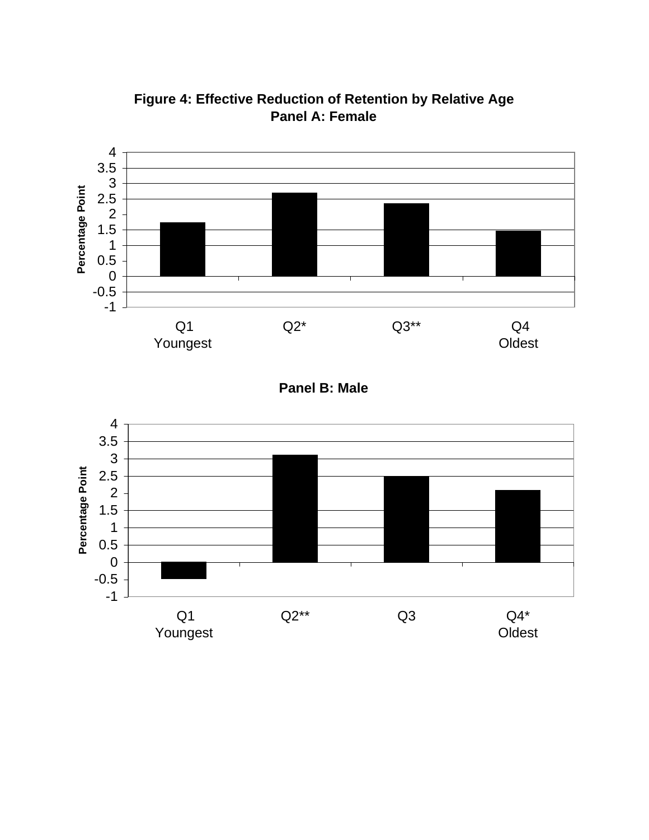

**Figure 4: Effective Reduction of Retention by Relative Age Panel A: Female**

**Panel B: Male**

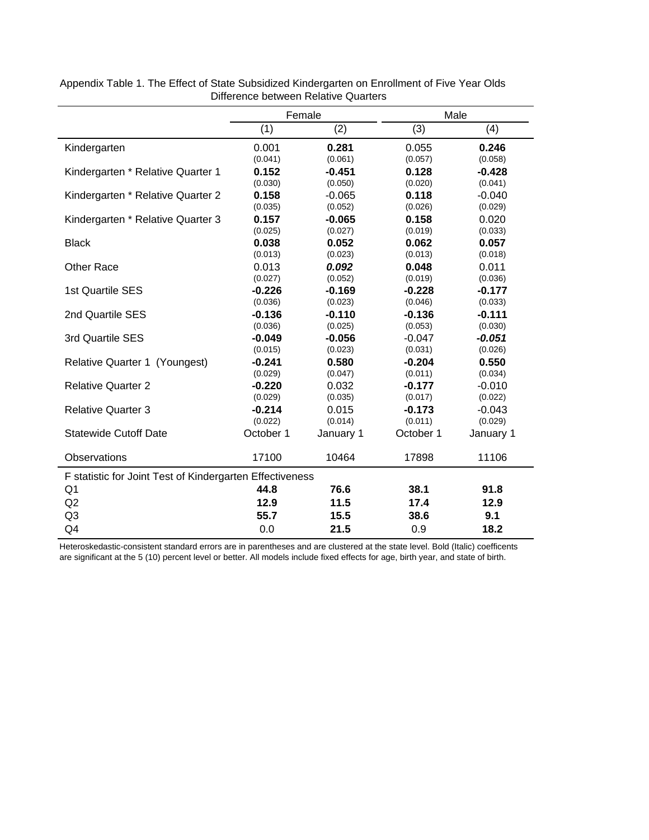|                                                          |           | Female    |           | Male      |  |
|----------------------------------------------------------|-----------|-----------|-----------|-----------|--|
|                                                          | (1)       | (2)       | (3)       | (4)       |  |
| Kindergarten                                             | 0.001     | 0.281     | 0.055     | 0.246     |  |
|                                                          | (0.041)   | (0.061)   | (0.057)   | (0.058)   |  |
| Kindergarten * Relative Quarter 1                        | 0.152     | $-0.451$  | 0.128     | $-0.428$  |  |
|                                                          | (0.030)   | (0.050)   | (0.020)   | (0.041)   |  |
| Kindergarten * Relative Quarter 2                        | 0.158     | $-0.065$  | 0.118     | $-0.040$  |  |
|                                                          | (0.035)   | (0.052)   | (0.026)   | (0.029)   |  |
| Kindergarten * Relative Quarter 3                        | 0.157     | $-0.065$  | 0.158     | 0.020     |  |
|                                                          | (0.025)   | (0.027)   | (0.019)   | (0.033)   |  |
| <b>Black</b>                                             | 0.038     | 0.052     | 0.062     | 0.057     |  |
|                                                          | (0.013)   | (0.023)   | (0.013)   | (0.018)   |  |
| <b>Other Race</b>                                        | 0.013     | 0.092     | 0.048     | 0.011     |  |
|                                                          | (0.027)   | (0.052)   | (0.019)   | (0.036)   |  |
| 1st Quartile SES                                         | $-0.226$  | $-0.169$  | $-0.228$  | $-0.177$  |  |
|                                                          | (0.036)   | (0.023)   | (0.046)   | (0.033)   |  |
| 2nd Quartile SES                                         | $-0.136$  | $-0.110$  | $-0.136$  | $-0.111$  |  |
|                                                          | (0.036)   | (0.025)   | (0.053)   | (0.030)   |  |
| 3rd Quartile SES                                         | $-0.049$  | $-0.056$  | $-0.047$  | $-0.051$  |  |
|                                                          | (0.015)   | (0.023)   | (0.031)   | (0.026)   |  |
| Relative Quarter 1 (Youngest)                            | $-0.241$  | 0.580     | $-0.204$  | 0.550     |  |
|                                                          | (0.029)   | (0.047)   | (0.011)   | (0.034)   |  |
| <b>Relative Quarter 2</b>                                | $-0.220$  | 0.032     | $-0.177$  | $-0.010$  |  |
|                                                          | (0.029)   | (0.035)   | (0.017)   | (0.022)   |  |
| <b>Relative Quarter 3</b>                                | $-0.214$  | 0.015     | $-0.173$  | $-0.043$  |  |
|                                                          | (0.022)   | (0.014)   | (0.011)   | (0.029)   |  |
| <b>Statewide Cutoff Date</b>                             | October 1 | January 1 | October 1 | January 1 |  |
| Observations                                             | 17100     | 10464     | 17898     | 11106     |  |
| F statistic for Joint Test of Kindergarten Effectiveness |           |           |           |           |  |
| Q1                                                       | 44.8      | 76.6      | 38.1      | 91.8      |  |
| Q <sub>2</sub>                                           | 12.9      | 11.5      | 17.4      | 12.9      |  |
| Q <sub>3</sub>                                           | 55.7      | 15.5      | 38.6      | 9.1       |  |
| Q4                                                       | 0.0       | 21.5      | 0.9       | 18.2      |  |

Appendix Table 1. The Effect of State Subsidized Kindergarten on Enrollment of Five Year Olds Difference between Relative Quarters

Heteroskedastic-consistent standard errors are in parentheses and are clustered at the state level. Bold (Italic) coefficents are significant at the 5 (10) percent level or better. All models include fixed effects for age, birth year, and state of birth.